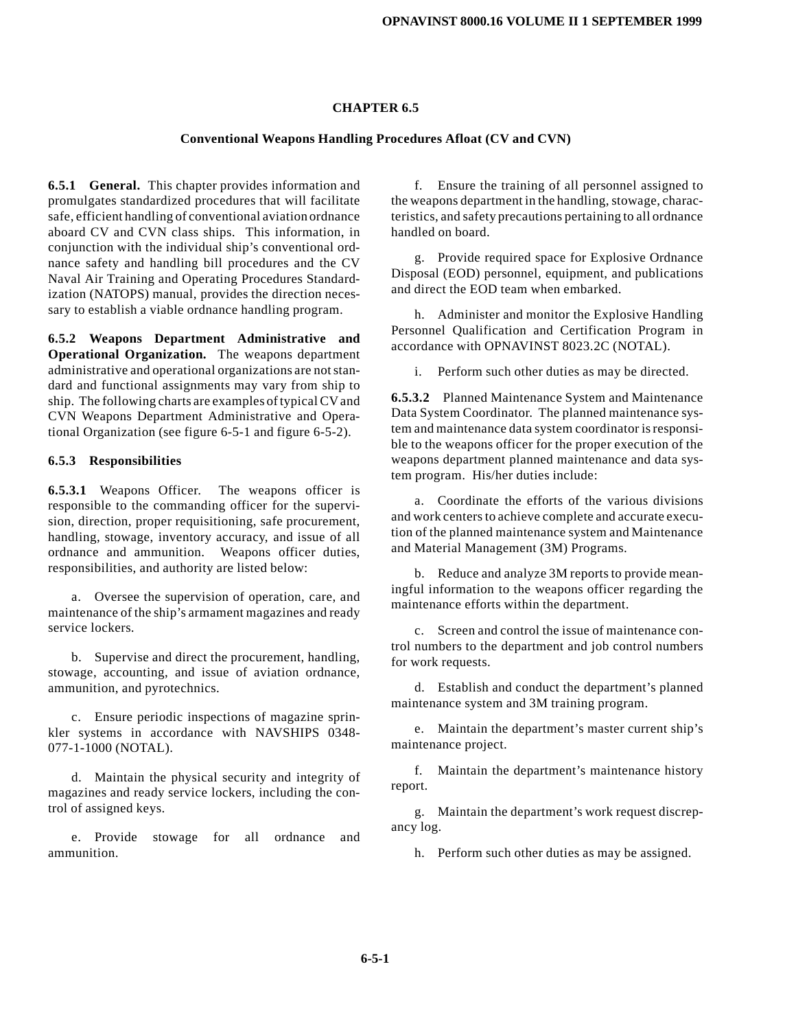## **CHAPTER 6.5**

#### **Conventional Weapons Handling Procedures Afloat (CV and CVN)**

**6.5.1 General.** This chapter provides information and promulgates standardized procedures that will facilitate safe, efficient handling of conventional aviation ordnance aboard CV and CVN class ships. This information, in conjunction with the individual ship's conventional ordnance safety and handling bill procedures and the CV Naval Air Training and Operating Procedures Standardization (NATOPS) manual, provides the direction necessary to establish a viable ordnance handling program.

**6.5.2 Weapons Department Administrative and Operational Organization.** The weapons department administrative and operational organizations are not standard and functional assignments may vary from ship to ship. The following charts are examples of typical CV and CVN Weapons Department Administrative and Operational Organization (see figure 6-5-1 and figure 6-5-2).

#### **6.5.3 Responsibilities**

**6.5.3.1** Weapons Officer. The weapons officer is responsible to the commanding officer for the supervision, direction, proper requisitioning, safe procurement, handling, stowage, inventory accuracy, and issue of all ordnance and ammunition. Weapons officer duties, responsibilities, and authority are listed below:

a. Oversee the supervision of operation, care, and maintenance of the ship's armament magazines and ready service lockers.

b. Supervise and direct the procurement, handling, stowage, accounting, and issue of aviation ordnance, ammunition, and pyrotechnics.

c. Ensure periodic inspections of magazine sprinkler systems in accordance with NAVSHIPS 0348- 077-1-1000 (NOTAL).

d. Maintain the physical security and integrity of magazines and ready service lockers, including the control of assigned keys.

e. Provide stowage for all ordnance and ammunition.

f. Ensure the training of all personnel assigned to the weapons department in the handling, stowage, characteristics, and safety precautions pertaining to all ordnance handled on board.

g. Provide required space for Explosive Ordnance Disposal (EOD) personnel, equipment, and publications and direct the EOD team when embarked.

h. Administer and monitor the Explosive Handling Personnel Qualification and Certification Program in accordance with OPNAVINST 8023.2C (NOTAL).

i. Perform such other duties as may be directed.

**6.5.3.2** Planned Maintenance System and Maintenance Data System Coordinator. The planned maintenance system and maintenance data system coordinator is responsible to the weapons officer for the proper execution of the weapons department planned maintenance and data system program. His/her duties include:

a. Coordinate the efforts of the various divisions and work centers to achieve complete and accurate execution of the planned maintenance system and Maintenance and Material Management (3M) Programs.

b. Reduce and analyze 3M reports to provide meaningful information to the weapons officer regarding the maintenance efforts within the department.

c. Screen and control the issue of maintenance control numbers to the department and job control numbers for work requests.

d. Establish and conduct the department's planned maintenance system and 3M training program.

e. Maintain the department's master current ship's maintenance project.

f. Maintain the department's maintenance history report.

g. Maintain the department's work request discrepancy log.

h. Perform such other duties as may be assigned.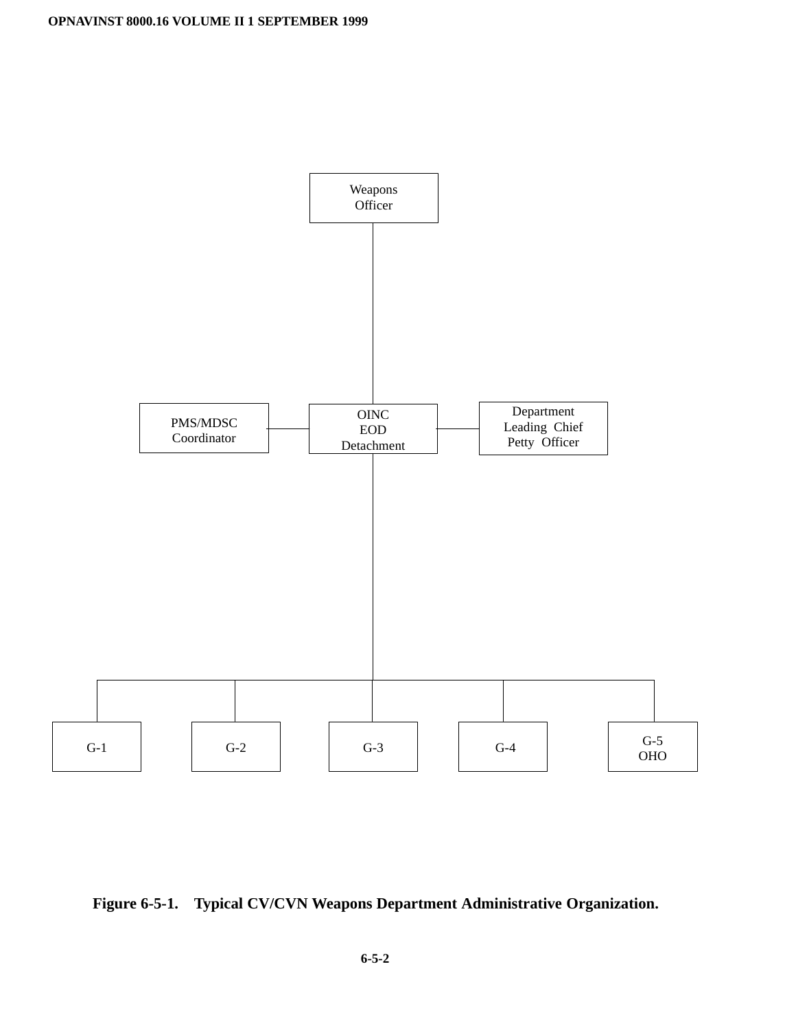

**Figure 6-5-1. Typical CV/CVN Weapons Department Administrative Organization.**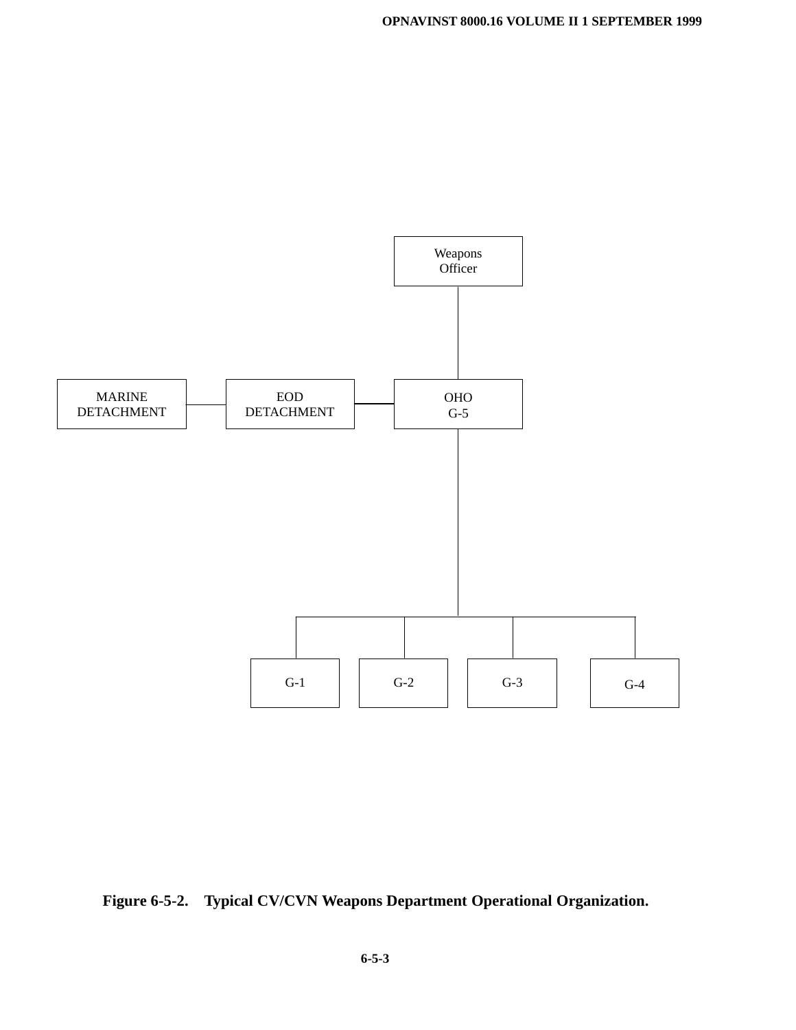

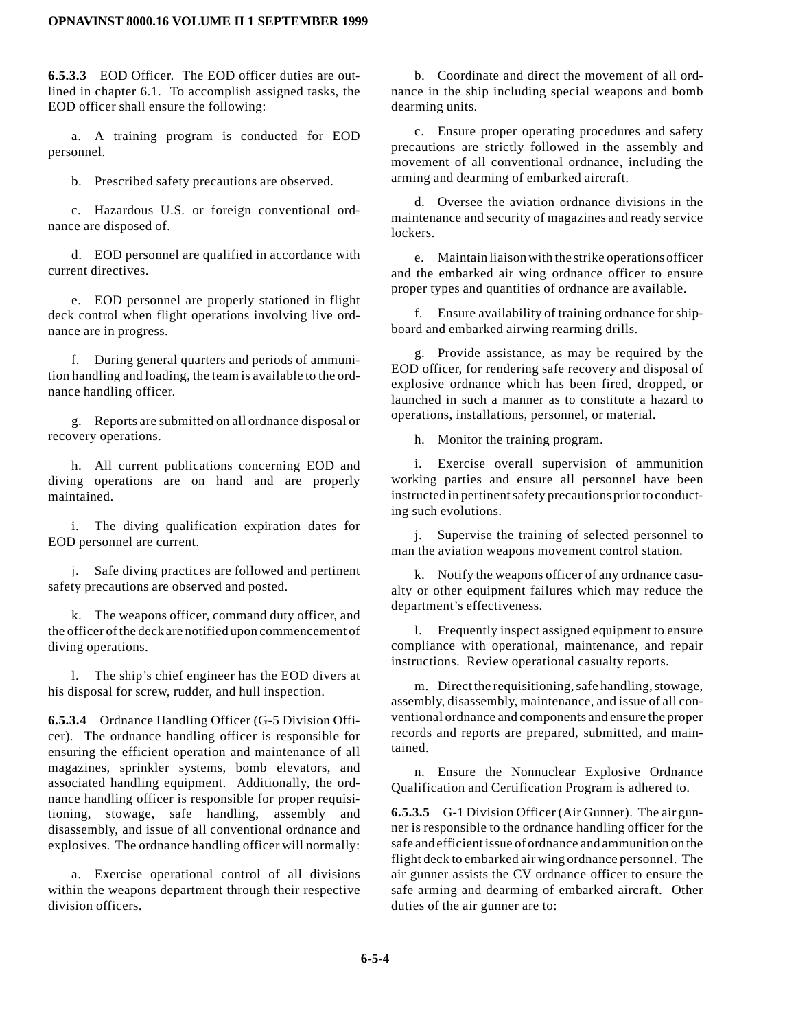**6.5.3.3** EOD Officer. The EOD officer duties are outlined in chapter 6.1. To accomplish assigned tasks, the EOD officer shall ensure the following:

a. A training program is conducted for EOD personnel.

b. Prescribed safety precautions are observed.

c. Hazardous U.S. or foreign conventional ordnance are disposed of.

d. EOD personnel are qualified in accordance with current directives.

e. EOD personnel are properly stationed in flight deck control when flight operations involving live ordnance are in progress.

f. During general quarters and periods of ammunition handling and loading, the team is available to the ordnance handling officer.

g. Reports are submitted on all ordnance disposal or recovery operations.

h. All current publications concerning EOD and diving operations are on hand and are properly maintained.

i. The diving qualification expiration dates for EOD personnel are current.

j. Safe diving practices are followed and pertinent safety precautions are observed and posted.

k. The weapons officer, command duty officer, and the officer of the deck are notified upon commencement of diving operations.

l. The ship's chief engineer has the EOD divers at his disposal for screw, rudder, and hull inspection.

**6.5.3.4** Ordnance Handling Officer (G-5 Division Officer). The ordnance handling officer is responsible for ensuring the efficient operation and maintenance of all magazines, sprinkler systems, bomb elevators, and associated handling equipment. Additionally, the ordnance handling officer is responsible for proper requisitioning, stowage, safe handling, assembly and disassembly, and issue of all conventional ordnance and explosives. The ordnance handling officer will normally:

a. Exercise operational control of all divisions within the weapons department through their respective division officers.

b. Coordinate and direct the movement of all ordnance in the ship including special weapons and bomb dearming units.

c. Ensure proper operating procedures and safety precautions are strictly followed in the assembly and movement of all conventional ordnance, including the arming and dearming of embarked aircraft.

d. Oversee the aviation ordnance divisions in the maintenance and security of magazines and ready service lockers.

e. Maintain liaison with the strike operations officer and the embarked air wing ordnance officer to ensure proper types and quantities of ordnance are available.

f. Ensure availability of training ordnance for shipboard and embarked airwing rearming drills.

g. Provide assistance, as may be required by the EOD officer, for rendering safe recovery and disposal of explosive ordnance which has been fired, dropped, or launched in such a manner as to constitute a hazard to operations, installations, personnel, or material.

h. Monitor the training program.

i. Exercise overall supervision of ammunition working parties and ensure all personnel have been instructed in pertinent safety precautions prior to conducting such evolutions.

j. Supervise the training of selected personnel to man the aviation weapons movement control station.

k. Notify the weapons officer of any ordnance casualty or other equipment failures which may reduce the department's effectiveness.

l. Frequently inspect assigned equipment to ensure compliance with operational, maintenance, and repair instructions. Review operational casualty reports.

m. Direct the requisitioning, safe handling, stowage, assembly, disassembly, maintenance, and issue of all conventional ordnance and components and ensure the proper records and reports are prepared, submitted, and maintained.

n. Ensure the Nonnuclear Explosive Ordnance Qualification and Certification Program is adhered to.

**6.5.3.5** G-1 Division Officer (Air Gunner). The air gunner is responsible to the ordnance handling officer for the safe and efficient issue of ordnance and ammunition on the flight deck to embarked air wing ordnance personnel. The air gunner assists the CV ordnance officer to ensure the safe arming and dearming of embarked aircraft. Other duties of the air gunner are to: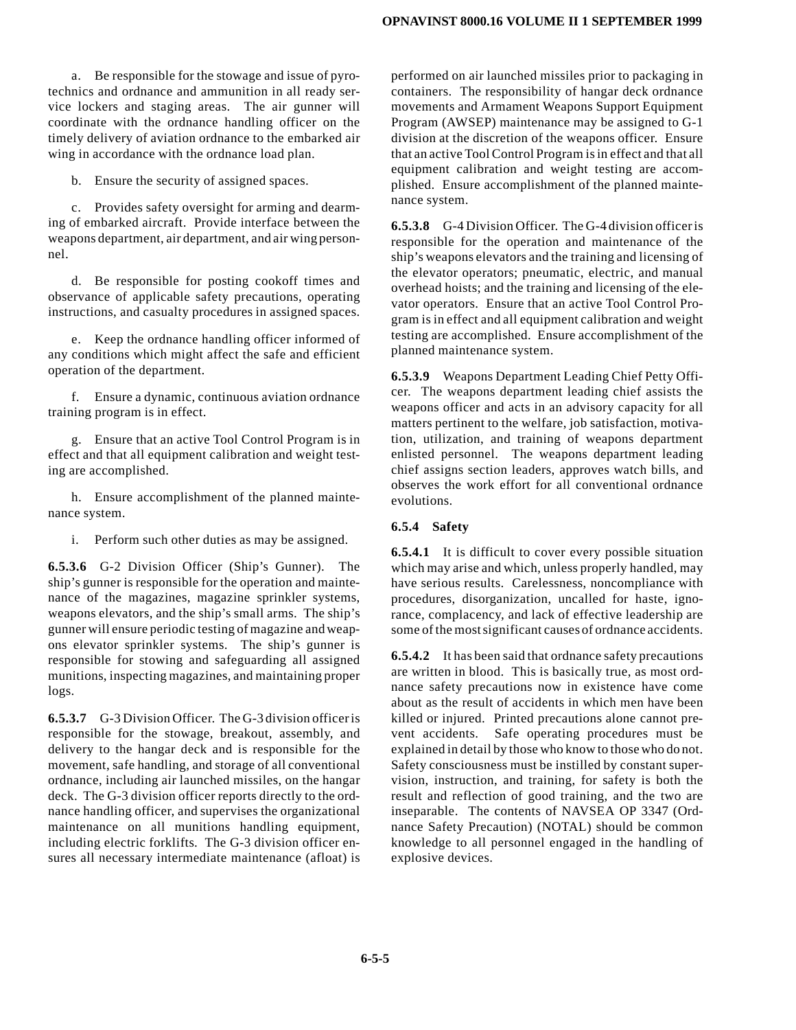a. Be responsible for the stowage and issue of pyrotechnics and ordnance and ammunition in all ready service lockers and staging areas. The air gunner will coordinate with the ordnance handling officer on the timely delivery of aviation ordnance to the embarked air wing in accordance with the ordnance load plan.

b. Ensure the security of assigned spaces.

c. Provides safety oversight for arming and dearming of embarked aircraft. Provide interface between the weapons department, air department, and air wing personnel.

d. Be responsible for posting cookoff times and observance of applicable safety precautions, operating instructions, and casualty procedures in assigned spaces.

e. Keep the ordnance handling officer informed of any conditions which might affect the safe and efficient operation of the department.

f. Ensure a dynamic, continuous aviation ordnance training program is in effect.

g. Ensure that an active Tool Control Program is in effect and that all equipment calibration and weight testing are accomplished.

h. Ensure accomplishment of the planned maintenance system.

i. Perform such other duties as may be assigned.

**6.5.3.6** G-2 Division Officer (Ship's Gunner). The ship's gunner is responsible for the operation and maintenance of the magazines, magazine sprinkler systems, weapons elevators, and the ship's small arms. The ship's gunner will ensure periodic testing of magazine and weapons elevator sprinkler systems. The ship's gunner is responsible for stowing and safeguarding all assigned munitions, inspecting magazines, and maintaining proper logs.

**6.5.3.7** G-3 Division Officer. The G-3 division officer is responsible for the stowage, breakout, assembly, and delivery to the hangar deck and is responsible for the movement, safe handling, and storage of all conventional ordnance, including air launched missiles, on the hangar deck. The G-3 division officer reports directly to the ordnance handling officer, and supervises the organizational maintenance on all munitions handling equipment, including electric forklifts. The G-3 division officer ensures all necessary intermediate maintenance (afloat) is

performed on air launched missiles prior to packaging in containers. The responsibility of hangar deck ordnance movements and Armament Weapons Support Equipment Program (AWSEP) maintenance may be assigned to G-1 division at the discretion of the weapons officer. Ensure that an active Tool Control Program is in effect and that all equipment calibration and weight testing are accomplished. Ensure accomplishment of the planned maintenance system.

**6.5.3.8** G-4 Division Officer. The G-4 division officer is responsible for the operation and maintenance of the ship's weapons elevators and the training and licensing of the elevator operators; pneumatic, electric, and manual overhead hoists; and the training and licensing of the elevator operators. Ensure that an active Tool Control Program is in effect and all equipment calibration and weight testing are accomplished. Ensure accomplishment of the planned maintenance system.

**6.5.3.9** Weapons Department Leading Chief Petty Officer. The weapons department leading chief assists the weapons officer and acts in an advisory capacity for all matters pertinent to the welfare, job satisfaction, motivation, utilization, and training of weapons department enlisted personnel. The weapons department leading chief assigns section leaders, approves watch bills, and observes the work effort for all conventional ordnance evolutions.

# **6.5.4 Safety**

**6.5.4.1** It is difficult to cover every possible situation which may arise and which, unless properly handled, may have serious results. Carelessness, noncompliance with procedures, disorganization, uncalled for haste, ignorance, complacency, and lack of effective leadership are some of the most significant causes of ordnance accidents.

**6.5.4.2** It has been said that ordnance safety precautions are written in blood. This is basically true, as most ordnance safety precautions now in existence have come about as the result of accidents in which men have been killed or injured. Printed precautions alone cannot prevent accidents. Safe operating procedures must be explained in detail by those who know to those who do not. Safety consciousness must be instilled by constant supervision, instruction, and training, for safety is both the result and reflection of good training, and the two are inseparable. The contents of NAVSEA OP 3347 (Ordnance Safety Precaution) (NOTAL) should be common knowledge to all personnel engaged in the handling of explosive devices.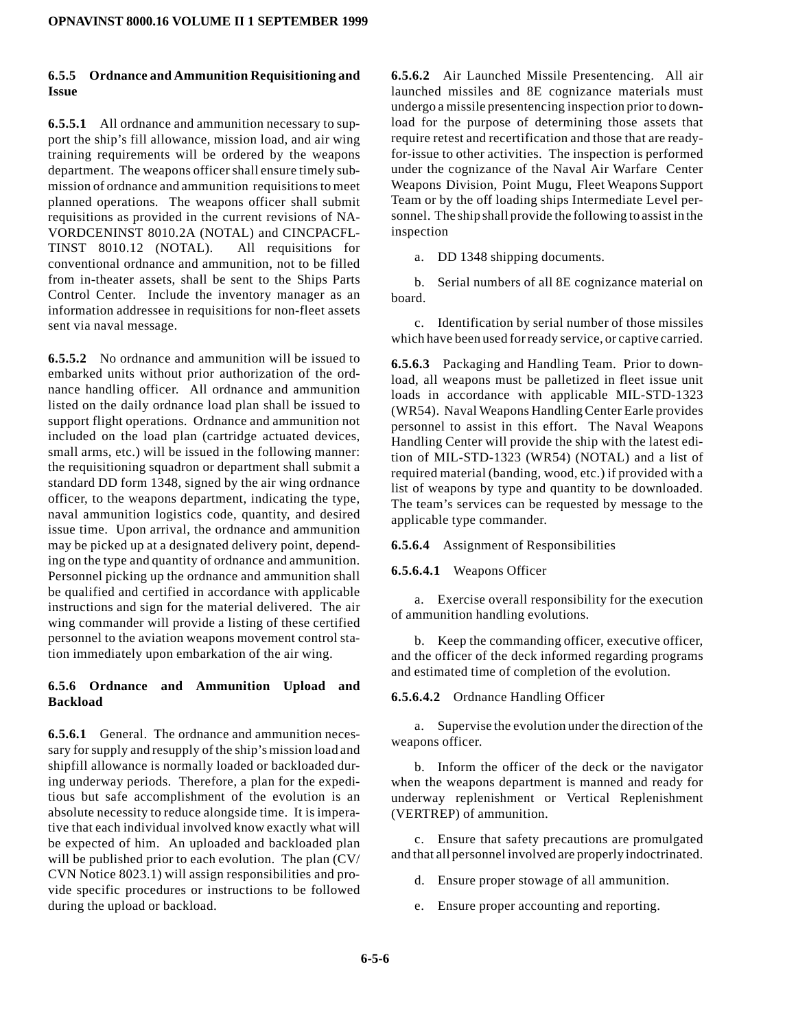# **6.5.5 Ordnance and Ammunition Requisitioning and Issue**

**6.5.5.1** All ordnance and ammunition necessary to support the ship's fill allowance, mission load, and air wing training requirements will be ordered by the weapons department. The weapons officer shall ensure timely submission of ordnance and ammunition requisitions to meet planned operations. The weapons officer shall submit requisitions as provided in the current revisions of NA-VORDCENINST 8010.2A (NOTAL) and CINCPACFL-TINST 8010.12 (NOTAL). All requisitions for conventional ordnance and ammunition, not to be filled from in-theater assets, shall be sent to the Ships Parts Control Center. Include the inventory manager as an information addressee in requisitions for non-fleet assets sent via naval message.

**6.5.5.2** No ordnance and ammunition will be issued to embarked units without prior authorization of the ordnance handling officer. All ordnance and ammunition listed on the daily ordnance load plan shall be issued to support flight operations. Ordnance and ammunition not included on the load plan (cartridge actuated devices, small arms, etc.) will be issued in the following manner: the requisitioning squadron or department shall submit a standard DD form 1348, signed by the air wing ordnance officer, to the weapons department, indicating the type, naval ammunition logistics code, quantity, and desired issue time. Upon arrival, the ordnance and ammunition may be picked up at a designated delivery point, depending on the type and quantity of ordnance and ammunition. Personnel picking up the ordnance and ammunition shall be qualified and certified in accordance with applicable instructions and sign for the material delivered. The air wing commander will provide a listing of these certified personnel to the aviation weapons movement control station immediately upon embarkation of the air wing.

# **6.5.6 Ordnance and Ammunition Upload and Backload**

**6.5.6.1** General. The ordnance and ammunition necessary for supply and resupply of the ship's mission load and shipfill allowance is normally loaded or backloaded during underway periods. Therefore, a plan for the expeditious but safe accomplishment of the evolution is an absolute necessity to reduce alongside time. It is imperative that each individual involved know exactly what will be expected of him. An uploaded and backloaded plan will be published prior to each evolution. The plan (CV/ CVN Notice 8023.1) will assign responsibilities and provide specific procedures or instructions to be followed during the upload or backload.

**6.5.6.2** Air Launched Missile Presentencing. All air launched missiles and 8E cognizance materials must undergo a missile presentencing inspection prior to download for the purpose of determining those assets that require retest and recertification and those that are readyfor-issue to other activities. The inspection is performed under the cognizance of the Naval Air Warfare Center Weapons Division, Point Mugu, Fleet Weapons Support Team or by the off loading ships Intermediate Level personnel. The ship shall provide the following to assist in the inspection

a. DD 1348 shipping documents.

b. Serial numbers of all 8E cognizance material on board.

c. Identification by serial number of those missiles which have been used for ready service, or captive carried.

**6.5.6.3** Packaging and Handling Team. Prior to download, all weapons must be palletized in fleet issue unit loads in accordance with applicable MIL-STD-1323 (WR54). Naval Weapons Handling Center Earle provides personnel to assist in this effort. The Naval Weapons Handling Center will provide the ship with the latest edition of MIL-STD-1323 (WR54) (NOTAL) and a list of required material (banding, wood, etc.) if provided with a list of weapons by type and quantity to be downloaded. The team's services can be requested by message to the applicable type commander.

#### **6.5.6.4** Assignment of Responsibilities

### **6.5.6.4.1** Weapons Officer

a. Exercise overall responsibility for the execution of ammunition handling evolutions.

b. Keep the commanding officer, executive officer, and the officer of the deck informed regarding programs and estimated time of completion of the evolution.

**6.5.6.4.2** Ordnance Handling Officer

a. Supervise the evolution under the direction of the weapons officer.

b. Inform the officer of the deck or the navigator when the weapons department is manned and ready for underway replenishment or Vertical Replenishment (VERTREP) of ammunition.

c. Ensure that safety precautions are promulgated and that all personnel involved are properly indoctrinated.

d. Ensure proper stowage of all ammunition.

e. Ensure proper accounting and reporting.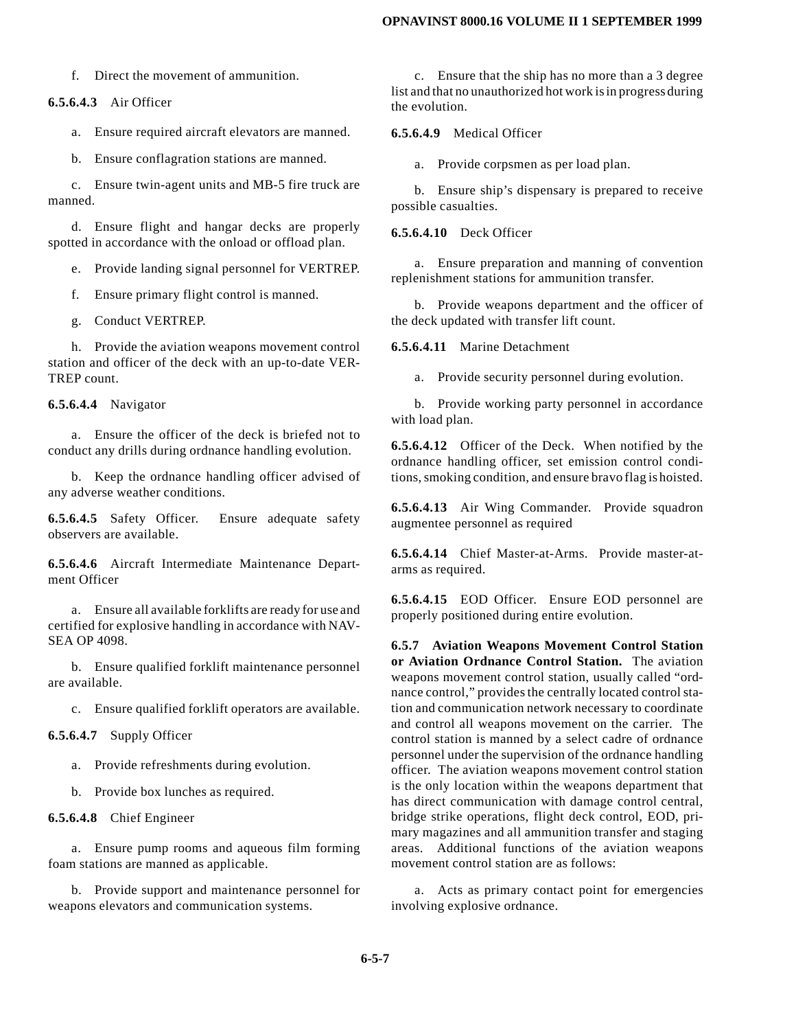#### **OPNAVINST 8000.16 VOLUME II 1 SEPTEMBER 1999**

f. Direct the movement of ammunition.

**6.5.6.4.3** Air Officer

a. Ensure required aircraft elevators are manned.

b. Ensure conflagration stations are manned.

c. Ensure twin-agent units and MB-5 fire truck are manned.

d. Ensure flight and hangar decks are properly spotted in accordance with the onload or offload plan.

e. Provide landing signal personnel for VERTREP.

f. Ensure primary flight control is manned.

g. Conduct VERTREP.

h. Provide the aviation weapons movement control station and officer of the deck with an up-to-date VER-TREP count.

**6.5.6.4.4** Navigator

a. Ensure the officer of the deck is briefed not to conduct any drills during ordnance handling evolution.

b. Keep the ordnance handling officer advised of any adverse weather conditions.

**6.5.6.4.5** Safety Officer. Ensure adequate safety observers are available.

**6.5.6.4.6** Aircraft Intermediate Maintenance Department Officer

a. Ensure all available forklifts are ready for use and certified for explosive handling in accordance with NAV-SEA OP 4098.

b. Ensure qualified forklift maintenance personnel are available.

c. Ensure qualified forklift operators are available.

**6.5.6.4.7** Supply Officer

a. Provide refreshments during evolution.

b. Provide box lunches as required.

**6.5.6.4.8** Chief Engineer

a. Ensure pump rooms and aqueous film forming foam stations are manned as applicable.

b. Provide support and maintenance personnel for weapons elevators and communication systems.

c. Ensure that the ship has no more than a 3 degree list and that no unauthorized hot work isin progressduring the evolution.

**6.5.6.4.9** Medical Officer

a. Provide corpsmen as per load plan.

b. Ensure ship's dispensary is prepared to receive possible casualties.

**6.5.6.4.10** Deck Officer

a. Ensure preparation and manning of convention replenishment stations for ammunition transfer.

b. Provide weapons department and the officer of the deck updated with transfer lift count.

**6.5.6.4.11** Marine Detachment

a. Provide security personnel during evolution.

b. Provide working party personnel in accordance with load plan.

**6.5.6.4.12** Officer of the Deck. When notified by the ordnance handling officer, set emission control conditions, smoking condition, and ensure bravo flag ishoisted.

**6.5.6.4.13** Air Wing Commander. Provide squadron augmentee personnel as required

**6.5.6.4.14** Chief Master-at-Arms. Provide master-atarms as required.

**6.5.6.4.15** EOD Officer. Ensure EOD personnel are properly positioned during entire evolution.

**6.5.7 Aviation Weapons Movement Control Station or Aviation Ordnance Control Station.** The aviation weapons movement control station, usually called "ordnance control," provides the centrally located control station and communication network necessary to coordinate and control all weapons movement on the carrier. The control station is manned by a select cadre of ordnance personnel under the supervision of the ordnance handling officer. The aviation weapons movement control station is the only location within the weapons department that has direct communication with damage control central, bridge strike operations, flight deck control, EOD, primary magazines and all ammunition transfer and staging areas. Additional functions of the aviation weapons movement control station are as follows:

a. Acts as primary contact point for emergencies involving explosive ordnance.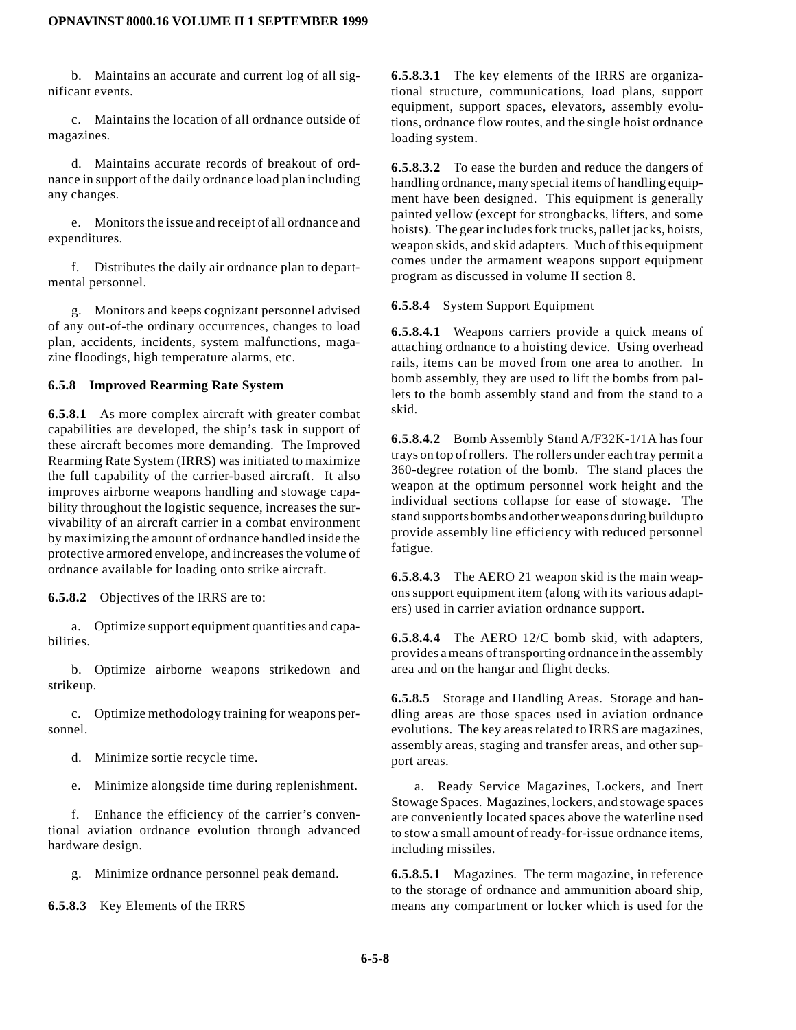b. Maintains an accurate and current log of all significant events.

c. Maintains the location of all ordnance outside of magazines.

d. Maintains accurate records of breakout of ordnance in support of the daily ordnance load plan including any changes.

e. Monitors the issue and receipt of all ordnance and expenditures.

f. Distributes the daily air ordnance plan to departmental personnel.

g. Monitors and keeps cognizant personnel advised of any out-of-the ordinary occurrences, changes to load plan, accidents, incidents, system malfunctions, magazine floodings, high temperature alarms, etc.

## **6.5.8 Improved Rearming Rate System**

**6.5.8.1** As more complex aircraft with greater combat capabilities are developed, the ship's task in support of these aircraft becomes more demanding. The Improved Rearming Rate System (IRRS) was initiated to maximize the full capability of the carrier-based aircraft. It also improves airborne weapons handling and stowage capability throughout the logistic sequence, increases the survivability of an aircraft carrier in a combat environment by maximizing the amount of ordnance handled inside the protective armored envelope, and increases the volume of ordnance available for loading onto strike aircraft.

**6.5.8.2** Objectives of the IRRS are to:

a. Optimize support equipment quantities and capabilities.

b. Optimize airborne weapons strikedown and strikeup.

c. Optimize methodology training for weapons personnel.

d. Minimize sortie recycle time.

e. Minimize alongside time during replenishment.

f. Enhance the efficiency of the carrier's conventional aviation ordnance evolution through advanced hardware design.

Minimize ordnance personnel peak demand.

**6.5.8.3** Key Elements of the IRRS

**6.5.8.3.1** The key elements of the IRRS are organizational structure, communications, load plans, support equipment, support spaces, elevators, assembly evolutions, ordnance flow routes, and the single hoist ordnance loading system.

**6.5.8.3.2** To ease the burden and reduce the dangers of handling ordnance, many special items of handling equipment have been designed. This equipment is generally painted yellow (except for strongbacks, lifters, and some hoists). The gear includes fork trucks, pallet jacks, hoists, weapon skids, and skid adapters. Much of this equipment comes under the armament weapons support equipment program as discussed in volume II section 8.

**6.5.8.4** System Support Equipment

**6.5.8.4.1** Weapons carriers provide a quick means of attaching ordnance to a hoisting device. Using overhead rails, items can be moved from one area to another. In bomb assembly, they are used to lift the bombs from pallets to the bomb assembly stand and from the stand to a skid.

**6.5.8.4.2** Bomb Assembly Stand A/F32K-1/1A has four trays on top of rollers. The rollers under each tray permit a 360-degree rotation of the bomb. The stand places the weapon at the optimum personnel work height and the individual sections collapse for ease of stowage. The stand supports bombs and other weapons during buildup to provide assembly line efficiency with reduced personnel fatigue.

**6.5.8.4.3** The AERO 21 weapon skid is the main weapons support equipment item (along with its various adapters) used in carrier aviation ordnance support.

**6.5.8.4.4** The AERO 12/C bomb skid, with adapters, provides a means of transporting ordnance in the assembly area and on the hangar and flight decks.

**6.5.8.5** Storage and Handling Areas. Storage and handling areas are those spaces used in aviation ordnance evolutions. The key areas related to IRRS are magazines, assembly areas, staging and transfer areas, and other support areas.

a. Ready Service Magazines, Lockers, and Inert Stowage Spaces. Magazines, lockers, and stowage spaces are conveniently located spaces above the waterline used to stow a small amount of ready-for-issue ordnance items, including missiles.

**6.5.8.5.1** Magazines. The term magazine, in reference to the storage of ordnance and ammunition aboard ship, means any compartment or locker which is used for the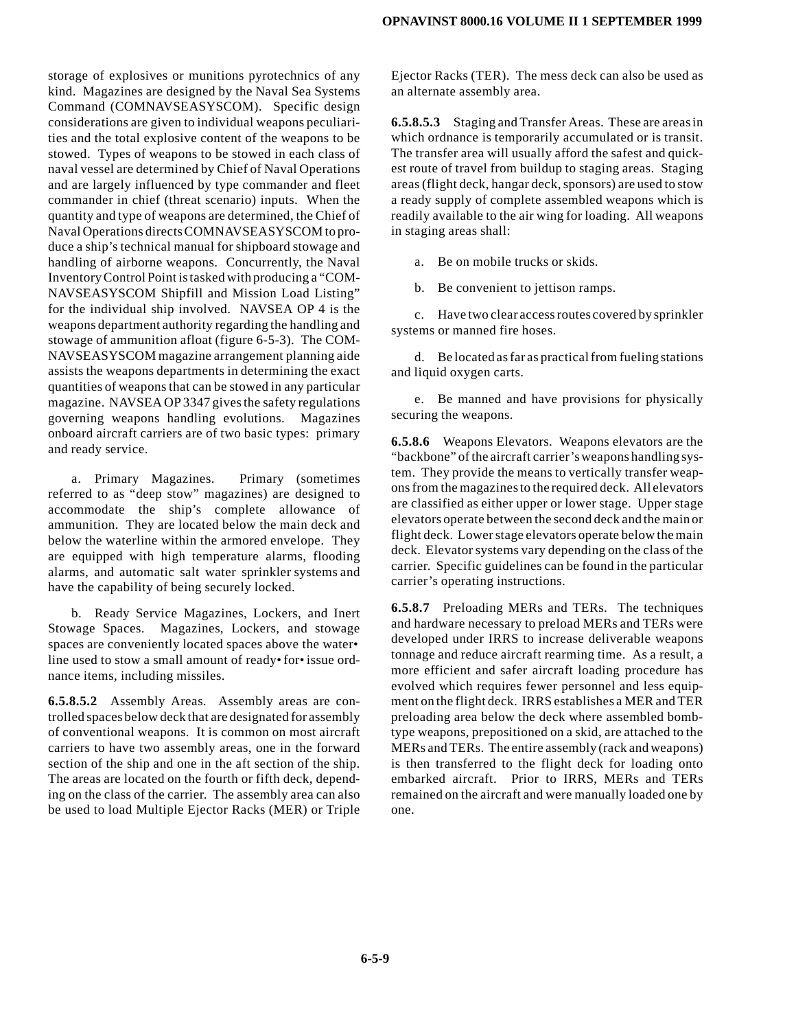storage of explosives or munitions pyrotechnics of any kind. Magazines are designed by the Naval Sea Systems Command (COMNAVSEASYSCOM). Specific design considerations are given to individual weapons peculiarities and the total explosive content of the weapons to be stowed. Types of weapons to be stowed in each class of naval vessel are determined by Chief of Naval Operations and are largely influenced by type commander and fleet commander in chief (threat scenario) inputs. When the quantity and type of weapons are determined, the Chief of Naval Operations directs COMNAVSEASYSCOM to produce a ship's technical manual for shipboard stowage and handling of airborne weapons. Concurrently, the Naval Inventory Control Point is tasked with producing a "COM-NAVSEASYSCOM Shipfill and Mission Load Listing" for the individual ship involved. NAVSEA OP 4 is the weapons department authority regarding the handling and stowage of ammunition afloat (figure 6-5-3). The COM-NAVSEASYSCOM magazine arrangement planning aide assists the weapons departments in determining the exact quantities of weapons that can be stowed in any particular magazine. NAVSEA OP 3347 gives the safety regulations governing weapons handling evolutions. Magazines onboard aircraft carriers are of two basic types: primary and ready service.

a. Primary Magazines. Primary (sometimes referred to as "deep stow" magazines) are designed to accommodate the ship's complete allowance of ammunition. They are located below the main deck and below the waterline within the armored envelope. They are equipped with high temperature alarms, flooding alarms, and automatic salt water sprinkler systems and have the capability of being securely locked.

b. Ready Service Magazines, Lockers, and Inert Stowage Spaces. Magazines, Lockers, and stowage spaces are conveniently located spaces above the water• line used to stow a small amount of ready• for• issue ordnance items, including missiles.

**6.5.8.5.2** Assembly Areas. Assembly areas are controlled spacesbelow deck that are designated for assembly of conventional weapons. It is common on most aircraft carriers to have two assembly areas, one in the forward section of the ship and one in the aft section of the ship. The areas are located on the fourth or fifth deck, depending on the class of the carrier. The assembly area can also be used to load Multiple Ejector Racks (MER) or Triple

Ejector Racks (TER). The mess deck can also be used as an alternate assembly area.

**6.5.8.5.3** Staging and Transfer Areas. These are areas in which ordnance is temporarily accumulated or is transit. The transfer area will usually afford the safest and quickest route of travel from buildup to staging areas. Staging areas (flight deck, hangar deck, sponsors) are used to stow a ready supply of complete assembled weapons which is readily available to the air wing for loading. All weapons in staging areas shall:

a. Be on mobile trucks or skids.

b. Be convenient to jettison ramps.

c. Have two clear access routescovered by sprinkler systems or manned fire hoses.

d. Be located as far as practical from fueling stations and liquid oxygen carts.

e. Be manned and have provisions for physically securing the weapons.

**6.5.8.6** Weapons Elevators. Weapons elevators are the "backbone" of the aircraft carrier's weapons handling system. They provide the means to vertically transfer weapons from the magazinesto the required deck. All elevators are classified as either upper or lower stage. Upper stage elevators operate between the second deck and the main or flight deck. Lower stage elevators operate below the main deck. Elevator systems vary depending on the class of the carrier. Specific guidelines can be found in the particular carrier's operating instructions.

**6.5.8.7** Preloading MERs and TERs. The techniques and hardware necessary to preload MERs and TERs were developed under IRRS to increase deliverable weapons tonnage and reduce aircraft rearming time. As a result, a more efficient and safer aircraft loading procedure has evolved which requires fewer personnel and less equipment on the flight deck. IRRS establishes a MER and TER preloading area below the deck where assembled bombtype weapons, prepositioned on a skid, are attached to the MERs and TERs. The entire assembly (rack and weapons) is then transferred to the flight deck for loading onto embarked aircraft. Prior to IRRS, MERs and TERs remained on the aircraft and were manually loaded one by one.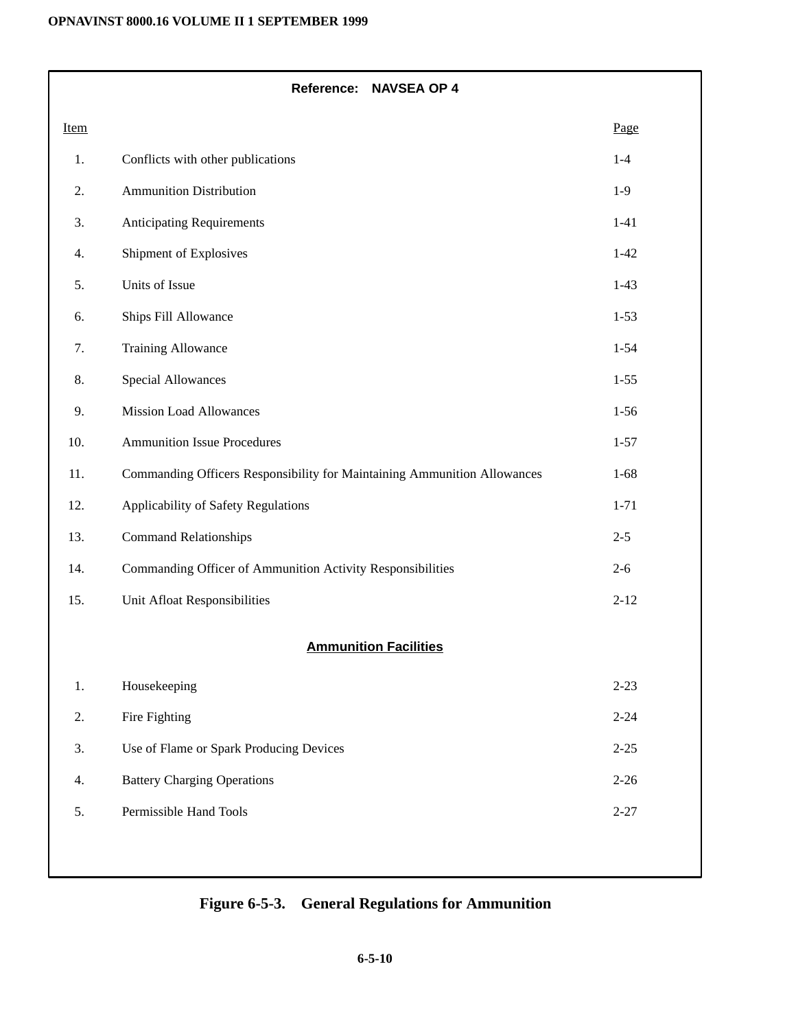|                              | Reference: NAVSEA OP 4                                                   |          |  |  |
|------------------------------|--------------------------------------------------------------------------|----------|--|--|
| <b>Item</b>                  |                                                                          | Page     |  |  |
| 1.                           | Conflicts with other publications                                        | $1-4$    |  |  |
| 2.                           | <b>Ammunition Distribution</b>                                           | $1-9$    |  |  |
| 3.                           | <b>Anticipating Requirements</b>                                         | $1 - 41$ |  |  |
| 4.                           | Shipment of Explosives                                                   | $1 - 42$ |  |  |
| 5.                           | Units of Issue                                                           | $1 - 43$ |  |  |
| 6.                           | Ships Fill Allowance                                                     | $1 - 53$ |  |  |
| 7.                           | <b>Training Allowance</b>                                                | $1 - 54$ |  |  |
| 8.                           | <b>Special Allowances</b>                                                | $1 - 55$ |  |  |
| 9.                           | <b>Mission Load Allowances</b>                                           | $1 - 56$ |  |  |
| 10.                          | <b>Ammunition Issue Procedures</b>                                       | $1 - 57$ |  |  |
| 11.                          | Commanding Officers Responsibility for Maintaining Ammunition Allowances | $1 - 68$ |  |  |
| 12.                          | Applicability of Safety Regulations                                      | $1 - 71$ |  |  |
| 13.                          | <b>Command Relationships</b>                                             | $2 - 5$  |  |  |
| 14.                          | Commanding Officer of Ammunition Activity Responsibilities               | $2 - 6$  |  |  |
| 15.                          | Unit Afloat Responsibilities                                             | $2 - 12$ |  |  |
| <b>Ammunition Facilities</b> |                                                                          |          |  |  |
| 1.                           | Housekeeping                                                             | $2 - 23$ |  |  |
| 2.                           | Fire Fighting                                                            | $2 - 24$ |  |  |
| 3.                           | Use of Flame or Spark Producing Devices                                  | $2 - 25$ |  |  |
| 4.                           | <b>Battery Charging Operations</b>                                       | $2 - 26$ |  |  |
| 5.                           | Permissible Hand Tools                                                   | $2 - 27$ |  |  |
|                              |                                                                          |          |  |  |
|                              |                                                                          |          |  |  |

# **Figure 6-5-3. General Regulations for Ammunition**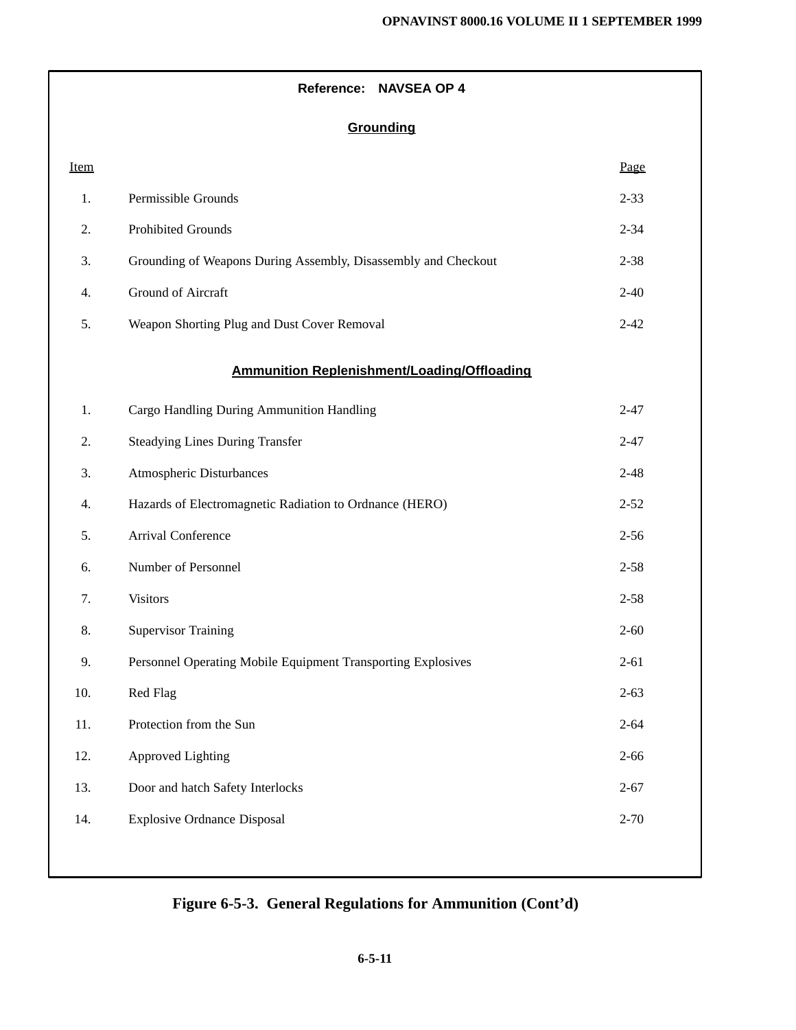# **Reference: NAVSEA OP 4 Grounding** <u>Item Page</u> 1. Permissible Grounds 2-33 2. Prohibited Grounds 2-34 3. Grounding of Weapons During Assembly, Disassembly and Checkout 2-38 4. Ground of Aircraft 2-40 5. Weapon Shorting Plug and Dust Cover Removal 2-42 **Ammunition Replenishment/Loading/Offloading** 1. Cargo Handling During Ammunition Handling 2-47 2. Steadying Lines During Transfer 2-47 3. Atmospheric Disturbances 2-48 4. Hazards of Electromagnetic Radiation to Ordnance (HERO) 2-52 5. Arrival Conference 2-56 6. Number of Personnel 2-58 7. Visitors 2-58 8. Supervisor Training 2-60 9. Personnel Operating Mobile Equipment Transporting Explosives 2-61 10. Red Flag 2-63 11. Protection from the Sun 2-64 12. Approved Lighting 2-66 13. Door and hatch Safety Interlocks 2-67 14. Explosive Ordnance Disposal 2-70

# **Figure 6-5-3. General Regulations for Ammunition (Cont'd)**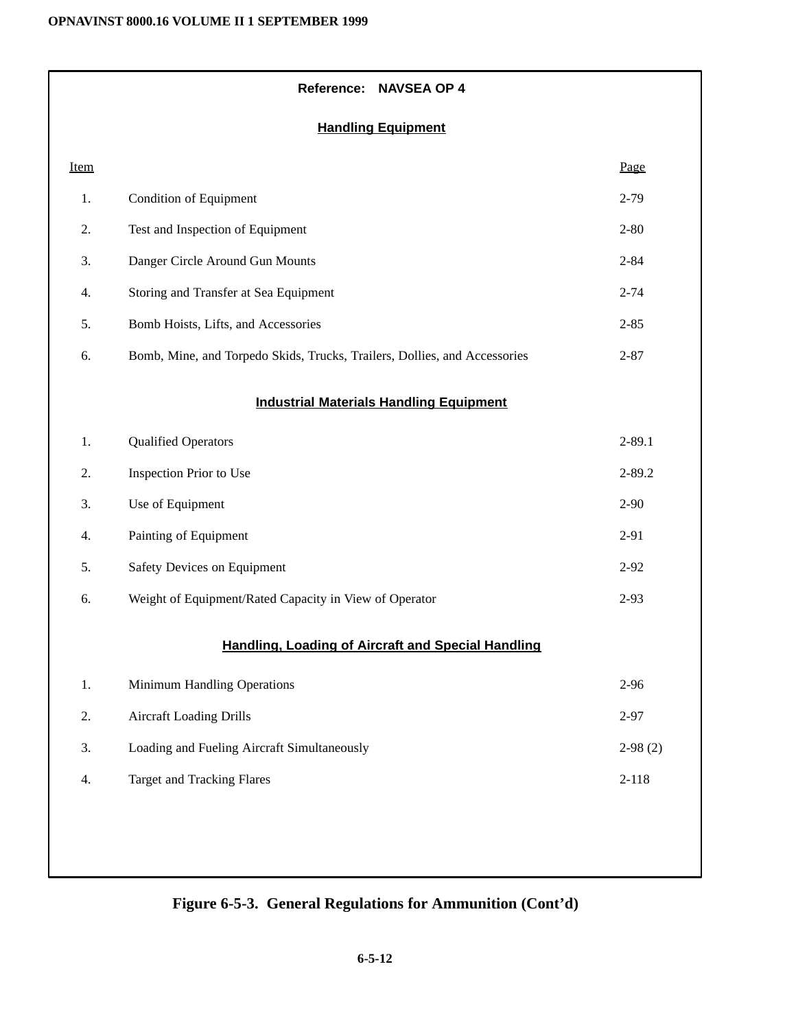# **Reference: NAVSEA OP 4**

# **Handling Equipment**

| <u>Item</u>                                               |                                                                           | Page       |  |  |
|-----------------------------------------------------------|---------------------------------------------------------------------------|------------|--|--|
| 1.                                                        | Condition of Equipment                                                    | $2 - 79$   |  |  |
| 2.                                                        | Test and Inspection of Equipment                                          | $2 - 80$   |  |  |
| 3.                                                        | Danger Circle Around Gun Mounts                                           | $2 - 84$   |  |  |
| 4.                                                        | Storing and Transfer at Sea Equipment                                     | $2 - 74$   |  |  |
| 5.                                                        | Bomb Hoists, Lifts, and Accessories                                       | $2 - 85$   |  |  |
| 6.                                                        | Bomb, Mine, and Torpedo Skids, Trucks, Trailers, Dollies, and Accessories | $2 - 87$   |  |  |
| <b>Industrial Materials Handling Equipment</b>            |                                                                           |            |  |  |
|                                                           |                                                                           |            |  |  |
| 1.                                                        | <b>Qualified Operators</b>                                                | $2 - 89.1$ |  |  |
| 2.                                                        | Inspection Prior to Use                                                   | 2-89.2     |  |  |
| 3.                                                        | Use of Equipment                                                          | $2-90$     |  |  |
| 4.                                                        | Painting of Equipment                                                     | $2 - 91$   |  |  |
| 5.                                                        | Safety Devices on Equipment                                               | $2 - 92$   |  |  |
| 6.                                                        | Weight of Equipment/Rated Capacity in View of Operator                    | $2 - 93$   |  |  |
| <b>Handling, Loading of Aircraft and Special Handling</b> |                                                                           |            |  |  |
| 1.                                                        | Minimum Handling Operations                                               | $2 - 96$   |  |  |
| 2.                                                        | <b>Aircraft Loading Drills</b>                                            | 2-97       |  |  |
| 3.                                                        | Loading and Fueling Aircraft Simultaneously                               | $2-98(2)$  |  |  |
| 4.                                                        | <b>Target and Tracking Flares</b>                                         | $2 - 118$  |  |  |
|                                                           |                                                                           |            |  |  |
|                                                           |                                                                           |            |  |  |
|                                                           |                                                                           |            |  |  |

# **Figure 6-5-3. General Regulations for Ammunition (Cont'd)**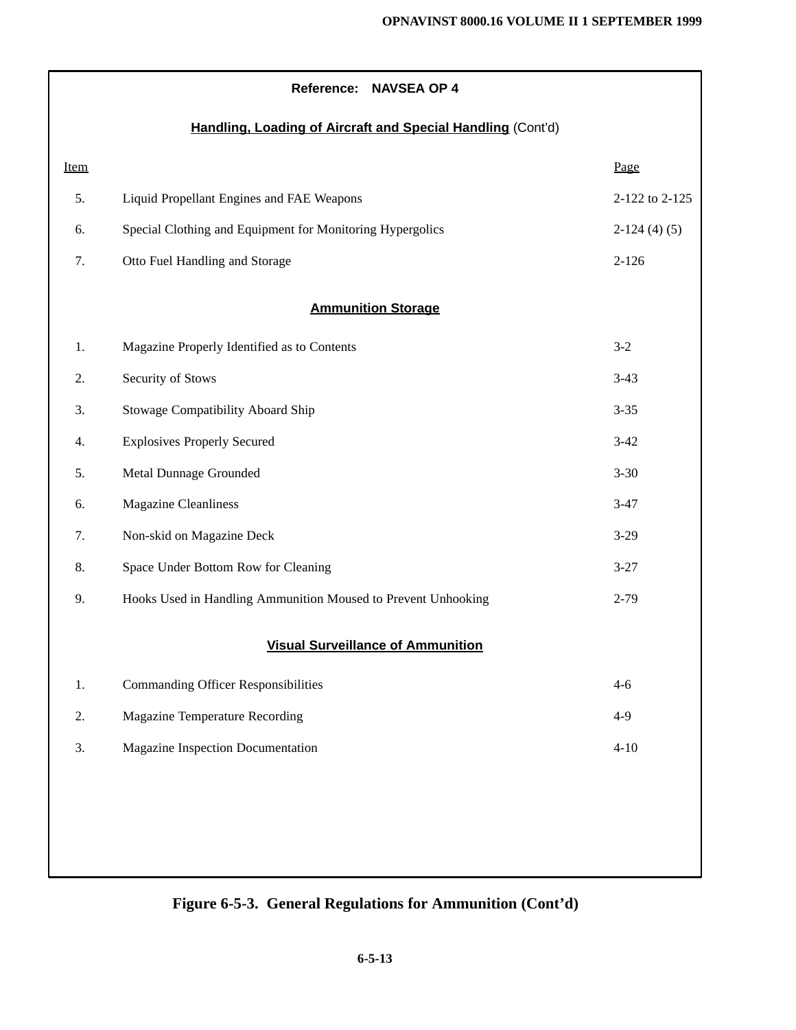|                                          | <b>NAVSEA OP 4</b><br>Reference:                              |                |  |  |
|------------------------------------------|---------------------------------------------------------------|----------------|--|--|
|                                          | Handling, Loading of Aircraft and Special Handling (Cont'd)   |                |  |  |
| <b>Item</b>                              |                                                               | Page           |  |  |
| 5.                                       | Liquid Propellant Engines and FAE Weapons                     | 2-122 to 2-125 |  |  |
| 6.                                       | Special Clothing and Equipment for Monitoring Hypergolics     | $2-124(4)(5)$  |  |  |
| 7.                                       | Otto Fuel Handling and Storage                                | $2 - 126$      |  |  |
| <b>Ammunition Storage</b>                |                                                               |                |  |  |
| 1.                                       | Magazine Properly Identified as to Contents                   | $3 - 2$        |  |  |
| 2.                                       | Security of Stows                                             | $3-43$         |  |  |
| 3.                                       | Stowage Compatibility Aboard Ship                             | $3 - 35$       |  |  |
| 4.                                       | <b>Explosives Properly Secured</b>                            | $3 - 42$       |  |  |
| 5.                                       | Metal Dunnage Grounded                                        | $3 - 30$       |  |  |
| 6.                                       | <b>Magazine Cleanliness</b>                                   | $3-47$         |  |  |
| 7.                                       | Non-skid on Magazine Deck                                     | $3 - 29$       |  |  |
| 8.                                       | Space Under Bottom Row for Cleaning                           | $3 - 27$       |  |  |
| 9.                                       | Hooks Used in Handling Ammunition Moused to Prevent Unhooking | $2 - 79$       |  |  |
| <b>Visual Surveillance of Ammunition</b> |                                                               |                |  |  |
| 1.                                       | <b>Commanding Officer Responsibilities</b>                    | $4 - 6$        |  |  |
| 2.                                       | <b>Magazine Temperature Recording</b>                         | $4-9$          |  |  |
| 3.                                       | Magazine Inspection Documentation                             | $4 - 10$       |  |  |
|                                          |                                                               |                |  |  |
|                                          |                                                               |                |  |  |
|                                          |                                                               |                |  |  |

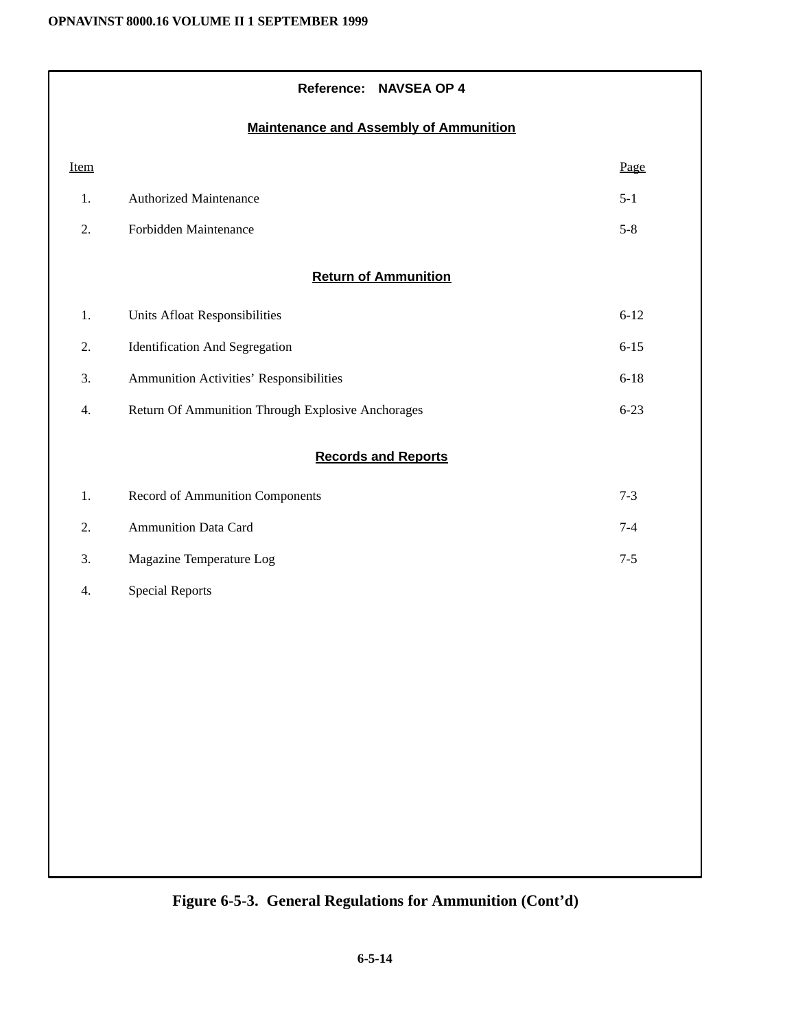# **Reference: NAVSEA OP 4 Maintenance and Assembly of Ammunition** <u>Item Page</u> 1. Authorized Maintenance 5-1 2. Forbidden Maintenance 5-8 **Return of Ammunition** 1. Units Afloat Responsibilities 6-12 2. Identification And Segregation 6-15 3. Ammunition Activities' Responsibilities 6-18 4. Return Of Ammunition Through Explosive Anchorages 6-23 **Records and Reports** 1. Record of Ammunition Components 7-3 2. Ammunition Data Card 7-4 3. Magazine Temperature Log 7-5 4. Special Reports

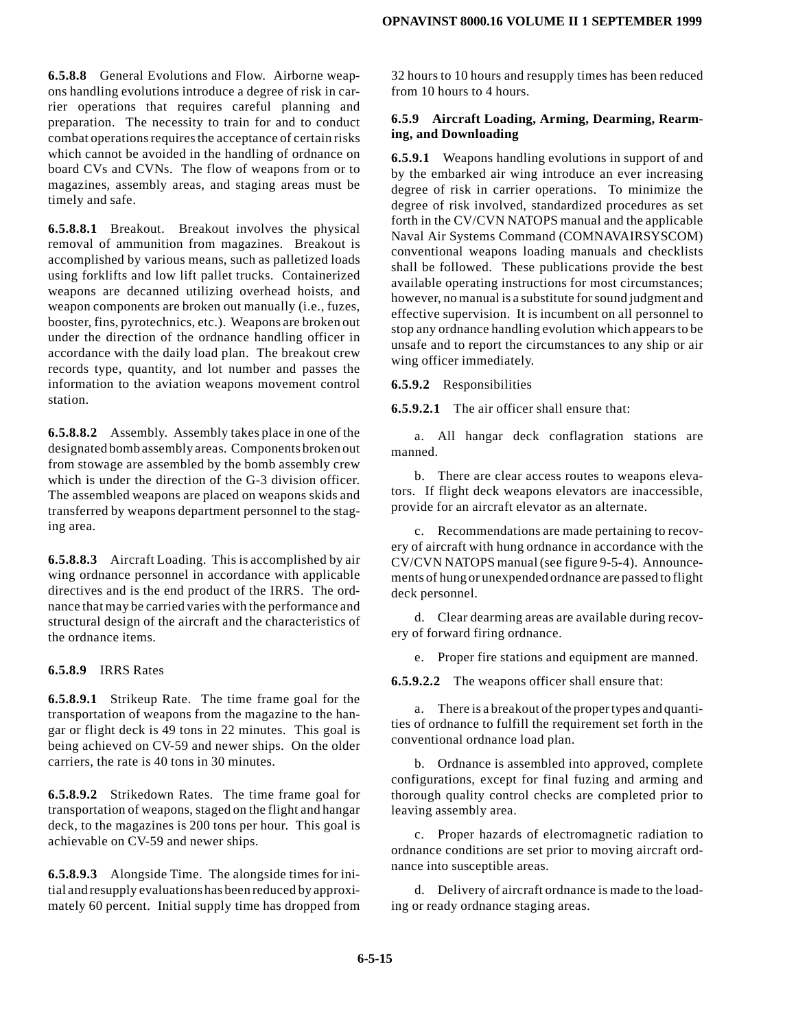**6.5.8.8** General Evolutions and Flow. Airborne weapons handling evolutions introduce a degree of risk in carrier operations that requires careful planning and preparation. The necessity to train for and to conduct combat operations requires the acceptance of certain risks which cannot be avoided in the handling of ordnance on board CVs and CVNs. The flow of weapons from or to magazines, assembly areas, and staging areas must be timely and safe.

**6.5.8.8.1** Breakout. Breakout involves the physical removal of ammunition from magazines. Breakout is accomplished by various means, such as palletized loads using forklifts and low lift pallet trucks. Containerized weapons are decanned utilizing overhead hoists, and weapon components are broken out manually (i.e., fuzes, booster, fins, pyrotechnics, etc.). Weapons are broken out under the direction of the ordnance handling officer in accordance with the daily load plan. The breakout crew records type, quantity, and lot number and passes the information to the aviation weapons movement control station.

**6.5.8.8.2** Assembly. Assembly takes place in one of the designated bomb assembly areas. Components broken out from stowage are assembled by the bomb assembly crew which is under the direction of the G-3 division officer. The assembled weapons are placed on weapons skids and transferred by weapons department personnel to the staging area.

**6.5.8.8.3** Aircraft Loading. This is accomplished by air wing ordnance personnel in accordance with applicable directives and is the end product of the IRRS. The ordnance that may be carried varies with the performance and structural design of the aircraft and the characteristics of the ordnance items.

### **6.5.8.9** IRRS Rates

**6.5.8.9.1** Strikeup Rate. The time frame goal for the transportation of weapons from the magazine to the hangar or flight deck is 49 tons in 22 minutes. This goal is being achieved on CV-59 and newer ships. On the older carriers, the rate is 40 tons in 30 minutes.

**6.5.8.9.2** Strikedown Rates. The time frame goal for transportation of weapons, staged on the flight and hangar deck, to the magazines is 200 tons per hour. This goal is achievable on CV-59 and newer ships.

**6.5.8.9.3** Alongside Time. The alongside times for initial and resupply evaluations has been reduced by approximately 60 percent. Initial supply time has dropped from 32 hours to 10 hours and resupply times has been reduced from 10 hours to 4 hours.

# **6.5.9 Aircraft Loading, Arming, Dearming, Rearming, and Downloading**

**6.5.9.1** Weapons handling evolutions in support of and by the embarked air wing introduce an ever increasing degree of risk in carrier operations. To minimize the degree of risk involved, standardized procedures as set forth in the CV/CVN NATOPS manual and the applicable Naval Air Systems Command (COMNAVAIRSYSCOM) conventional weapons loading manuals and checklists shall be followed. These publications provide the best available operating instructions for most circumstances; however, no manual is a substitute for sound judgment and effective supervision. It is incumbent on all personnel to stop any ordnance handling evolution which appears to be unsafe and to report the circumstances to any ship or air wing officer immediately.

**6.5.9.2** Responsibilities

**6.5.9.2.1** The air officer shall ensure that:

a. All hangar deck conflagration stations are manned.

b. There are clear access routes to weapons elevators. If flight deck weapons elevators are inaccessible, provide for an aircraft elevator as an alternate.

c. Recommendations are made pertaining to recovery of aircraft with hung ordnance in accordance with the CV/CVN NATOPS manual (see figure 9-5-4). Announcements of hung or unexpended ordnance are passed to flight deck personnel.

d. Clear dearming areas are available during recovery of forward firing ordnance.

e. Proper fire stations and equipment are manned.

**6.5.9.2.2** The weapons officer shall ensure that:

a. There is a breakout of the proper types and quantities of ordnance to fulfill the requirement set forth in the conventional ordnance load plan.

b. Ordnance is assembled into approved, complete configurations, except for final fuzing and arming and thorough quality control checks are completed prior to leaving assembly area.

c. Proper hazards of electromagnetic radiation to ordnance conditions are set prior to moving aircraft ordnance into susceptible areas.

d. Delivery of aircraft ordnance is made to the loading or ready ordnance staging areas.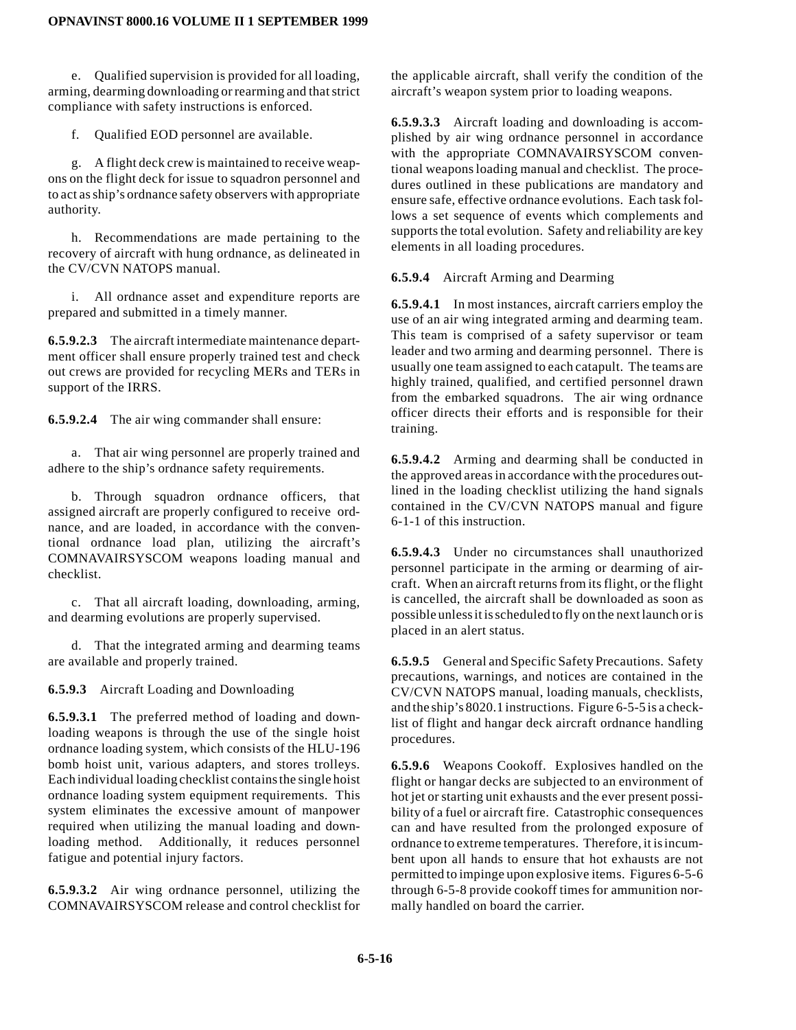e. Qualified supervision is provided for all loading, arming, dearming downloading or rearming and that strict compliance with safety instructions is enforced.

f. Qualified EOD personnel are available.

g. A flight deck crew is maintained to receive weapons on the flight deck for issue to squadron personnel and to act as ship's ordnance safety observers with appropriate authority.

h. Recommendations are made pertaining to the recovery of aircraft with hung ordnance, as delineated in the CV/CVN NATOPS manual.

i. All ordnance asset and expenditure reports are prepared and submitted in a timely manner.

**6.5.9.2.3** The aircraft intermediate maintenance department officer shall ensure properly trained test and check out crews are provided for recycling MERs and TERs in support of the IRRS.

**6.5.9.2.4** The air wing commander shall ensure:

a. That air wing personnel are properly trained and adhere to the ship's ordnance safety requirements.

b. Through squadron ordnance officers, that assigned aircraft are properly configured to receive ordnance, and are loaded, in accordance with the conventional ordnance load plan, utilizing the aircraft's COMNAVAIRSYSCOM weapons loading manual and checklist.

c. That all aircraft loading, downloading, arming, and dearming evolutions are properly supervised.

d. That the integrated arming and dearming teams are available and properly trained.

**6.5.9.3** Aircraft Loading and Downloading

**6.5.9.3.1** The preferred method of loading and downloading weapons is through the use of the single hoist ordnance loading system, which consists of the HLU-196 bomb hoist unit, various adapters, and stores trolleys. Each individual loading checklist containsthe single hoist ordnance loading system equipment requirements. This system eliminates the excessive amount of manpower required when utilizing the manual loading and downloading method. Additionally, it reduces personnel fatigue and potential injury factors.

**6.5.9.3.2** Air wing ordnance personnel, utilizing the COMNAVAIRSYSCOM release and control checklist for the applicable aircraft, shall verify the condition of the aircraft's weapon system prior to loading weapons.

**6.5.9.3.3** Aircraft loading and downloading is accomplished by air wing ordnance personnel in accordance with the appropriate COMNAVAIRSYSCOM conventional weapons loading manual and checklist. The procedures outlined in these publications are mandatory and ensure safe, effective ordnance evolutions. Each task follows a set sequence of events which complements and supports the total evolution. Safety and reliability are key elements in all loading procedures.

# **6.5.9.4** Aircraft Arming and Dearming

**6.5.9.4.1** In most instances, aircraft carriers employ the use of an air wing integrated arming and dearming team. This team is comprised of a safety supervisor or team leader and two arming and dearming personnel. There is usually one team assigned to each catapult. The teams are highly trained, qualified, and certified personnel drawn from the embarked squadrons. The air wing ordnance officer directs their efforts and is responsible for their training.

**6.5.9.4.2** Arming and dearming shall be conducted in the approved areas in accordance with the procedures outlined in the loading checklist utilizing the hand signals contained in the CV/CVN NATOPS manual and figure 6-1-1 of this instruction.

**6.5.9.4.3** Under no circumstances shall unauthorized personnel participate in the arming or dearming of aircraft. When an aircraft returns from its flight, or the flight is cancelled, the aircraft shall be downloaded as soon as possible unlessit isscheduled to fly on the next launch or is placed in an alert status.

**6.5.9.5** General and Specific Safety Precautions. Safety precautions, warnings, and notices are contained in the CV/CVN NATOPS manual, loading manuals, checklists, and the ship's 8020.1 instructions. Figure 6-5-5 is a checklist of flight and hangar deck aircraft ordnance handling procedures.

**6.5.9.6** Weapons Cookoff. Explosives handled on the flight or hangar decks are subjected to an environment of hot jet or starting unit exhausts and the ever present possibility of a fuel or aircraft fire. Catastrophic consequences can and have resulted from the prolonged exposure of ordnance to extreme temperatures. Therefore, it is incumbent upon all hands to ensure that hot exhausts are not permitted to impinge upon explosive items. Figures 6-5-6 through 6-5-8 provide cookoff times for ammunition normally handled on board the carrier.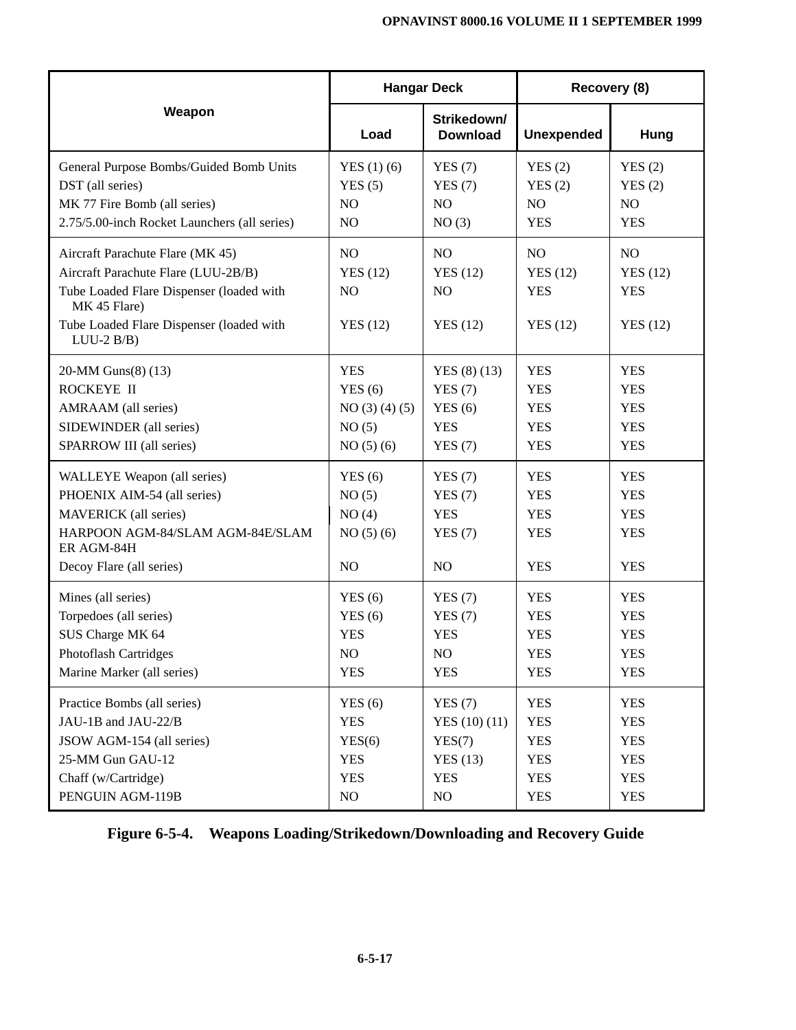|                                                          | <b>Hangar Deck</b> |                                | Recovery (8)      |                 |
|----------------------------------------------------------|--------------------|--------------------------------|-------------------|-----------------|
| Weapon                                                   | Load               | Strikedown/<br><b>Download</b> | <b>Unexpended</b> | Hung            |
| General Purpose Bombs/Guided Bomb Units                  | YES $(1)$ $(6)$    | YES(7)                         | YES(2)            | YES(2)          |
| DST (all series)                                         | YES(5)             | YES(7)                         | YES(2)            | YES(2)          |
| MK 77 Fire Bomb (all series)                             | NO                 | NO                             | NO                | NO              |
| 2.75/5.00-inch Rocket Launchers (all series)             | NO                 | NO(3)                          | <b>YES</b>        | <b>YES</b>      |
| Aircraft Parachute Flare (MK 45)                         | N <sub>O</sub>     | NO                             | NO                | NO              |
| Aircraft Parachute Flare (LUU-2B/B)                      | YES(12)            | YES(12)                        | <b>YES</b> (12)   | YES(12)         |
| Tube Loaded Flare Dispenser (loaded with<br>MK 45 Flare) | NO                 | N <sub>O</sub>                 | <b>YES</b>        | <b>YES</b>      |
| Tube Loaded Flare Dispenser (loaded with<br>$LUU-2B/B)$  | <b>YES</b> (12)    | YES(12)                        | <b>YES</b> (12)   | <b>YES</b> (12) |
| 20-MM Guns(8) (13)                                       | <b>YES</b>         | YES $(8)$ $(13)$               | <b>YES</b>        | <b>YES</b>      |
| ROCKEYE II                                               | YES(6)             | YES(7)                         | <b>YES</b>        | <b>YES</b>      |
| AMRAAM (all series)                                      | NO(3)(4)(5)        | YES(6)                         | <b>YES</b>        | <b>YES</b>      |
| SIDEWINDER (all series)                                  | NO(5)              | <b>YES</b>                     | <b>YES</b>        | <b>YES</b>      |
| SPARROW III (all series)                                 | NO(5)(6)           | YES(7)                         | <b>YES</b>        | <b>YES</b>      |
| WALLEYE Weapon (all series)                              | YES(6)             | YES(7)                         | <b>YES</b>        | <b>YES</b>      |
| PHOENIX AIM-54 (all series)                              | NO(5)              | YES(7)                         | <b>YES</b>        | <b>YES</b>      |
| MAVERICK (all series)                                    | NO(4)              | <b>YES</b>                     | <b>YES</b>        | <b>YES</b>      |
| HARPOON AGM-84/SLAM AGM-84E/SLAM<br>ER AGM-84H           | NO(5)(6)           | YES(7)                         | <b>YES</b>        | <b>YES</b>      |
| Decoy Flare (all series)                                 | NO                 | NO                             | <b>YES</b>        | <b>YES</b>      |
| Mines (all series)                                       | YES(6)             | YES(7)                         | <b>YES</b>        | <b>YES</b>      |
| Torpedoes (all series)                                   | YES(6)             | YES(7)                         | <b>YES</b>        | <b>YES</b>      |
| SUS Charge MK 64                                         | <b>YES</b>         | <b>YES</b>                     | <b>YES</b>        | <b>YES</b>      |
| Photoflash Cartridges                                    | NO                 | $\rm NO$                       | <b>YES</b>        | <b>YES</b>      |
| Marine Marker (all series)                               | <b>YES</b>         | <b>YES</b>                     | <b>YES</b>        | <b>YES</b>      |
| Practice Bombs (all series)                              | YES(6)             | YES(7)                         | <b>YES</b>        | <b>YES</b>      |
| JAU-1B and JAU-22/B                                      | <b>YES</b>         | YES (10) (11)                  | <b>YES</b>        | <b>YES</b>      |
| JSOW AGM-154 (all series)                                | YES(6)             | YES(7)                         | <b>YES</b>        | <b>YES</b>      |
| 25-MM Gun GAU-12                                         | <b>YES</b>         | YES(13)                        | <b>YES</b>        | <b>YES</b>      |
| Chaff (w/Cartridge)                                      | <b>YES</b>         | <b>YES</b>                     | <b>YES</b>        | <b>YES</b>      |
| PENGUIN AGM-119B                                         | NO                 | NO.                            | <b>YES</b>        | <b>YES</b>      |

**Figure 6-5-4. Weapons Loading/Strikedown/Downloading and Recovery Guide**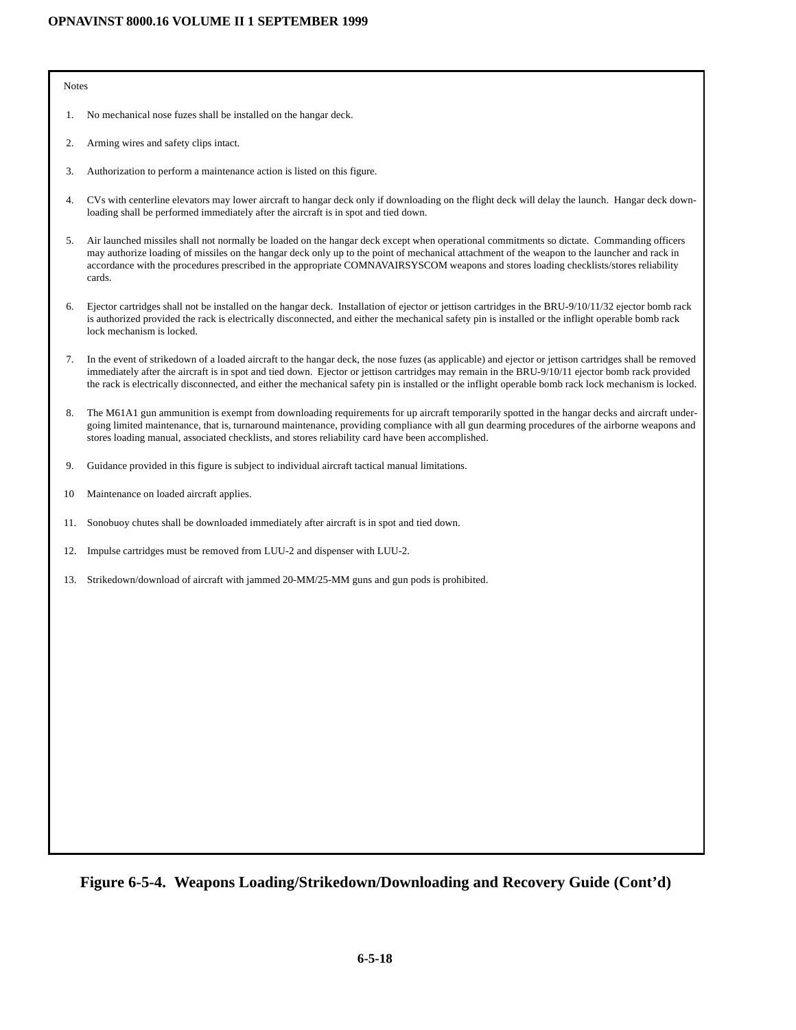#### Notes

- 1. No mechanical nose fuzes shall be installed on the hangar deck.
- 2. Arming wires and safety clips intact.
- 3. Authorization to perform a maintenance action is listed on this figure.
- 4. CVs with centerline elevators may lower aircraft to hangar deck only if downloading on the flight deck will delay the launch. Hangar deck downloading shall be performed immediately after the aircraft is in spot and tied down.
- 5. Air launched missiles shall not normally be loaded on the hangar deck except when operational commitments so dictate. Commanding officers may authorize loading of missiles on the hangar deck only up to the point of mechanical attachment of the weapon to the launcher and rack in accordance with the procedures prescribed in the appropriate COMNAVAIRSYSCOM weapons and stores loading checklists/stores reliability cards.
- 6. Ejector cartridges shall not be installed on the hangar deck. Installation of ejector or jettison cartridges in the BRU-9/10/11/32 ejector bomb rack is authorized provided the rack is electrically disconnected, and either the mechanical safety pin is installed or the inflight operable bomb rack lock mechanism is locked.
- 7. In the event of strikedown of a loaded aircraft to the hangar deck, the nose fuzes (as applicable) and ejector or jettison cartridges shall be removed immediately after the aircraft is in spot and tied down. Ejector or jettison cartridges may remain in the BRU-9/10/11 ejector bomb rack provided the rack is electrically disconnected, and either the mechanical safety pin is installed or the inflight operable bomb rack lock mechanism is locked.
- 8. The M61A1 gun ammunition is exempt from downloading requirements for up aircraft temporarily spotted in the hangar decks and aircraft undergoing limited maintenance, that is, turnaround maintenance, providing compliance with all gun dearming procedures of the airborne weapons and stores loading manual, associated checklists, and stores reliability card have been accomplished.
- 9. Guidance provided in this figure is subject to individual aircraft tactical manual limitations.
- 10 Maintenance on loaded aircraft applies.
- 11. Sonobuoy chutes shall be downloaded immediately after aircraft is in spot and tied down.
- 12. Impulse cartridges must be removed from LUU-2 and dispenser with LUU-2.
- 13. Strikedown/download of aircraft with jammed 20-MM/25-MM guns and gun pods is prohibited.

**Figure 6-5-4. Weapons Loading/Strikedown/Downloading and Recovery Guide (Cont'd)**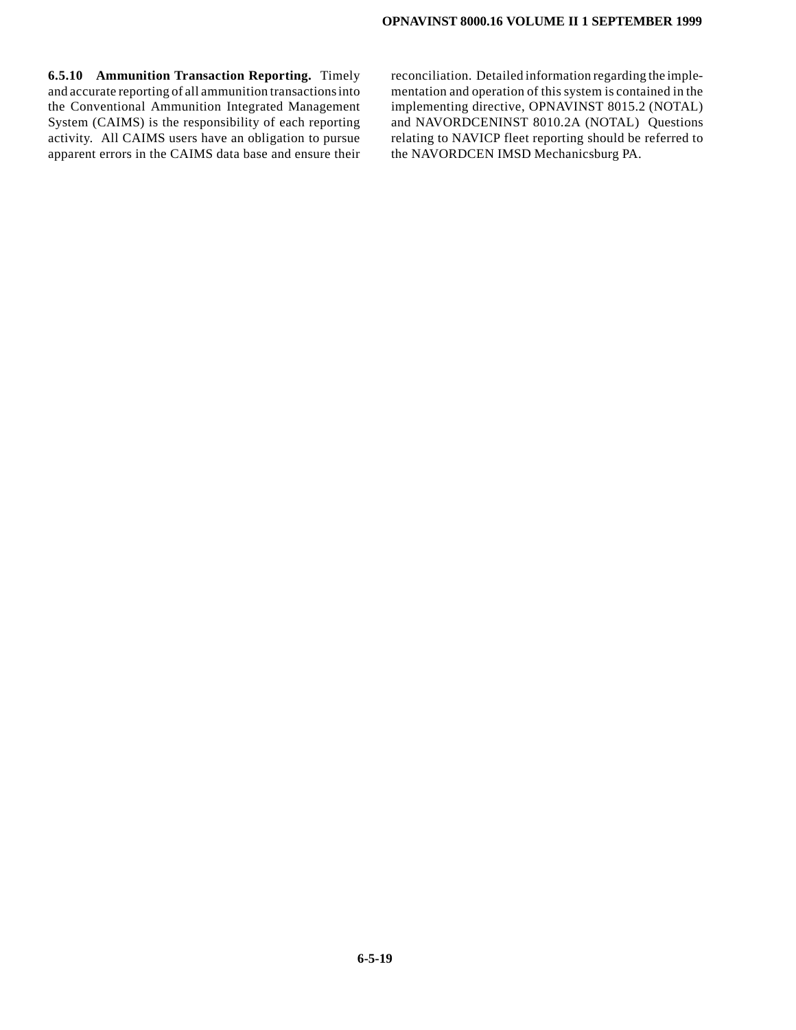**6.5.10 Ammunition Transaction Reporting.** Timely and accurate reporting of all ammunition transactionsinto the Conventional Ammunition Integrated Management System (CAIMS) is the responsibility of each reporting activity. All CAIMS users have an obligation to pursue apparent errors in the CAIMS data base and ensure their reconciliation. Detailed information regarding the implementation and operation of this system is contained in the implementing directive, OPNAVINST 8015.2 (NOTAL) and NAVORDCENINST 8010.2A (NOTAL) Questions relating to NAVICP fleet reporting should be referred to the NAVORDCEN IMSD Mechanicsburg PA.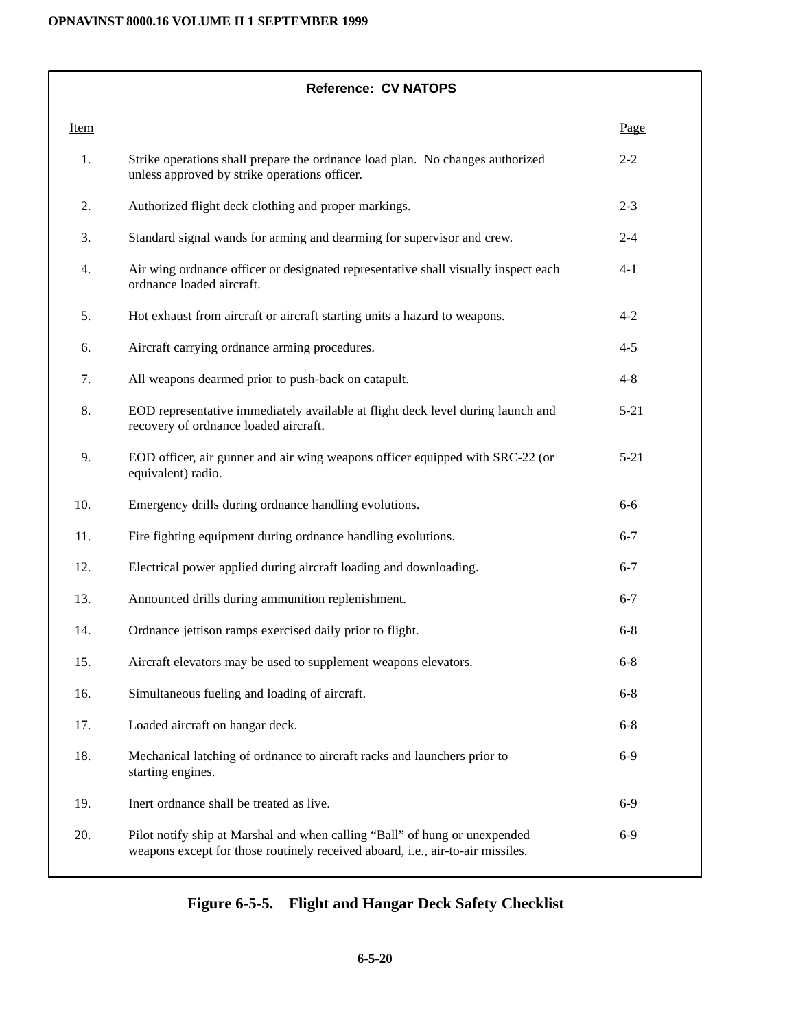# **Reference: CV NATOPS**

| <b>Item</b> |                                                                                                                                                              | Page     |
|-------------|--------------------------------------------------------------------------------------------------------------------------------------------------------------|----------|
| 1.          | Strike operations shall prepare the ordnance load plan. No changes authorized<br>unless approved by strike operations officer.                               | $2 - 2$  |
| 2.          | Authorized flight deck clothing and proper markings.                                                                                                         | $2 - 3$  |
| 3.          | Standard signal wands for arming and dearming for supervisor and crew.                                                                                       | $2 - 4$  |
| 4.          | Air wing ordnance officer or designated representative shall visually inspect each<br>ordnance loaded aircraft.                                              | $4 - 1$  |
| 5.          | Hot exhaust from aircraft or aircraft starting units a hazard to weapons.                                                                                    | $4 - 2$  |
| 6.          | Aircraft carrying ordnance arming procedures.                                                                                                                | $4 - 5$  |
| 7.          | All weapons dearmed prior to push-back on catapult.                                                                                                          | $4 - 8$  |
| 8.          | EOD representative immediately available at flight deck level during launch and<br>recovery of ordnance loaded aircraft.                                     | $5 - 21$ |
| 9.          | EOD officer, air gunner and air wing weapons officer equipped with SRC-22 (or<br>equivalent) radio.                                                          | $5 - 21$ |
| 10.         | Emergency drills during ordnance handling evolutions.                                                                                                        | $6-6$    |
| 11.         | Fire fighting equipment during ordnance handling evolutions.                                                                                                 | $6 - 7$  |
| 12.         | Electrical power applied during aircraft loading and downloading.                                                                                            | $6 - 7$  |
| 13.         | Announced drills during ammunition replenishment.                                                                                                            | $6 - 7$  |
| 14.         | Ordnance jettison ramps exercised daily prior to flight.                                                                                                     | $6 - 8$  |
| 15.         | Aircraft elevators may be used to supplement weapons elevators.                                                                                              | $6 - 8$  |
| 16.         | Simultaneous fueling and loading of aircraft.                                                                                                                | $6 - 8$  |
| 17.         | Loaded aircraft on hangar deck.                                                                                                                              | $6 - 8$  |
| 18.         | Mechanical latching of ordnance to aircraft racks and launchers prior to<br>starting engines.                                                                | $6-9$    |
| 19.         | Inert ordnance shall be treated as live.                                                                                                                     | $6-9$    |
| 20.         | Pilot notify ship at Marshal and when calling "Ball" of hung or unexpended<br>weapons except for those routinely received aboard, i.e., air-to-air missiles. | $6-9$    |

# **Figure 6-5-5. Flight and Hangar Deck Safety Checklist**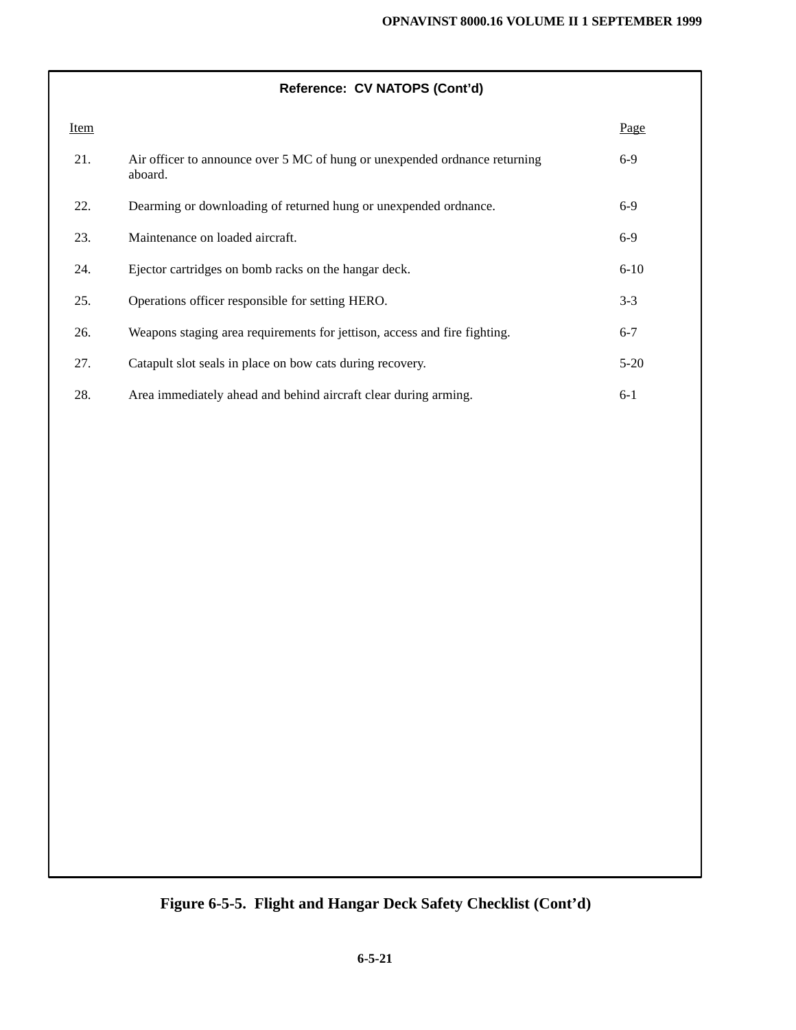# **Reference: CV NATOPS (Cont'd)**

| Item |                                                                                        | Page     |
|------|----------------------------------------------------------------------------------------|----------|
| 21.  | Air officer to announce over 5 MC of hung or unexpended ordinance returning<br>aboard. | $6-9$    |
| 22.  | Dearming or downloading of returned hung or unexpended ordnance.                       | $6-9$    |
| 23.  | Maintenance on loaded aircraft.                                                        | $6-9$    |
| 24.  | Ejector cartridges on bomb racks on the hangar deck.                                   | $6 - 10$ |
| 25.  | Operations officer responsible for setting HERO.                                       | $3 - 3$  |
| 26.  | Weapons staging area requirements for jettison, access and fire fighting.              | $6 - 7$  |
| 27.  | Catapult slot seals in place on bow cats during recovery.                              | $5 - 20$ |
| 28.  | Area immediately ahead and behind aircraft clear during arming.                        | $6-1$    |

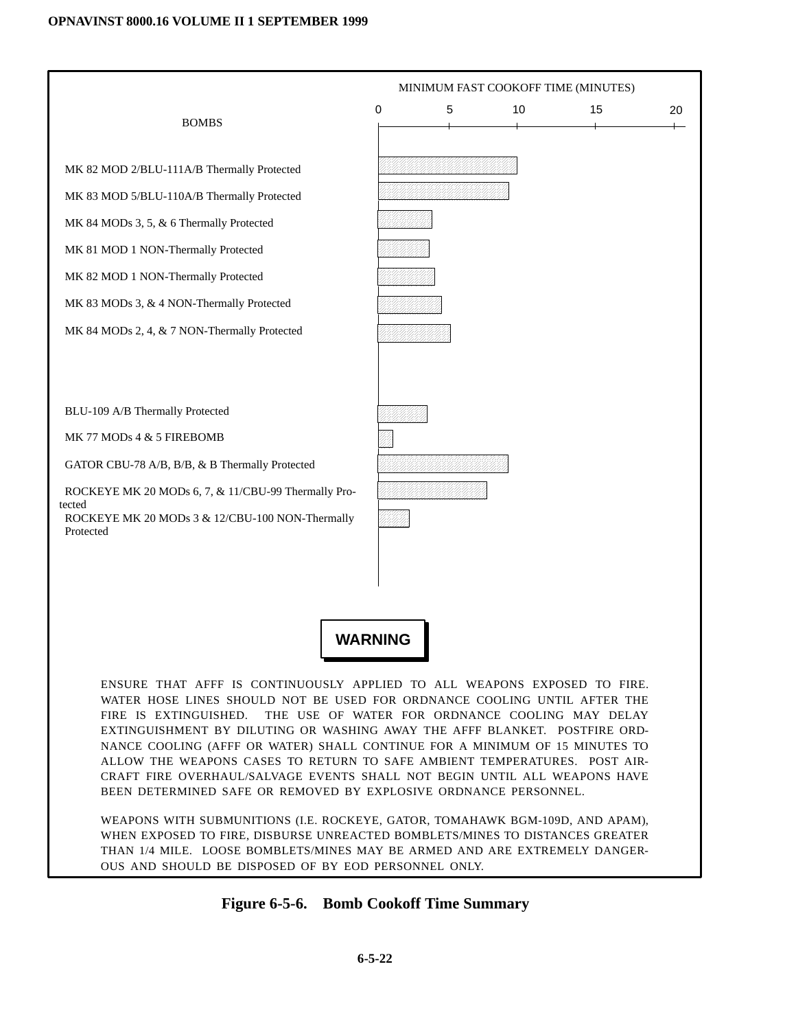

**WARNING**

ENSURE THAT AFFF IS CONTINUOUSLY APPLIED TO ALL WEAPONS EXPOSED TO FIRE. WATER HOSE LINES SHOULD NOT BE USED FOR ORDNANCE COOLING UNTIL AFTER THE FIRE IS EXTINGUISHED. THE USE OF WATER FOR ORDNANCE COOLING MAY DELAY EXTINGUISHMENT BY DILUTING OR WASHING AWAY THE AFFF BLANKET. POSTFIRE ORD-NANCE COOLING (AFFF OR WATER) SHALL CONTINUE FOR A MINIMUM OF 15 MINUTES TO ALLOW THE WEAPONS CASES TO RETURN TO SAFE AMBIENT TEMPERATURES. POST AIR-CRAFT FIRE OVERHAUL/SALVAGE EVENTS SHALL NOT BEGIN UNTIL ALL WEAPONS HAVE BEEN DETERMINED SAFE OR REMOVED BY EXPLOSIVE ORDNANCE PERSONNEL.

WEAPONS WITH SUBMUNITIONS (I.E. ROCKEYE, GATOR, TOMAHAWK BGM-109D, AND APAM), WHEN EXPOSED TO FIRE, DISBURSE UNREACTED BOMBLETS/MINES TO DISTANCES GREATER THAN 1/4 MILE. LOOSE BOMBLETS/MINES MAY BE ARMED AND ARE EXTREMELY DANGER-OUS AND SHOULD BE DISPOSED OF BY EOD PERSONNEL ONLY.

# **Figure 6-5-6. Bomb Cookoff Time Summary**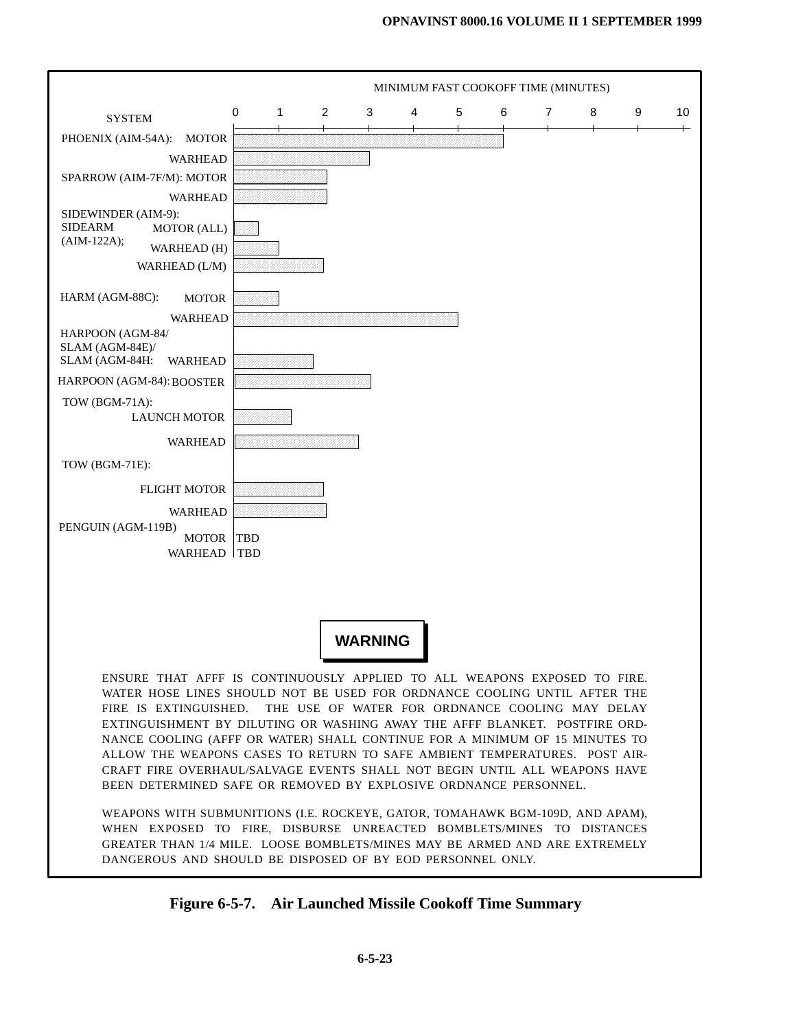

ENSURE THAT AFFF IS CONTINUOUSLY APPLIED TO ALL WEAPONS EXPOSED TO FIRE. WATER HOSE LINES SHOULD NOT BE USED FOR ORDNANCE COOLING UNTIL AFTER THE FIRE IS EXTINGUISHED. THE USE OF WATER FOR ORDNANCE COOLING MAY DELAY EXTINGUISHMENT BY DILUTING OR WASHING AWAY THE AFFF BLANKET. POSTFIRE ORD-NANCE COOLING (AFFF OR WATER) SHALL CONTINUE FOR A MINIMUM OF 15 MINUTES TO ALLOW THE WEAPONS CASES TO RETURN TO SAFE AMBIENT TEMPERATURES. POST AIR-CRAFT FIRE OVERHAUL/SALVAGE EVENTS SHALL NOT BEGIN UNTIL ALL WEAPONS HAVE BEEN DETERMINED SAFE OR REMOVED BY EXPLOSIVE ORDNANCE PERSONNEL.

WEAPONS WITH SUBMUNITIONS (I.E. ROCKEYE, GATOR, TOMAHAWK BGM-109D, AND APAM), WHEN EXPOSED TO FIRE, DISBURSE UNREACTED BOMBLETS/MINES TO DISTANCES GREATER THAN 1/4 MILE. LOOSE BOMBLETS/MINES MAY BE ARMED AND ARE EXTREMELY DANGEROUS AND SHOULD BE DISPOSED OF BY EOD PERSONNEL ONLY.

**Figure 6-5-7. Air Launched Missile Cookoff Time Summary**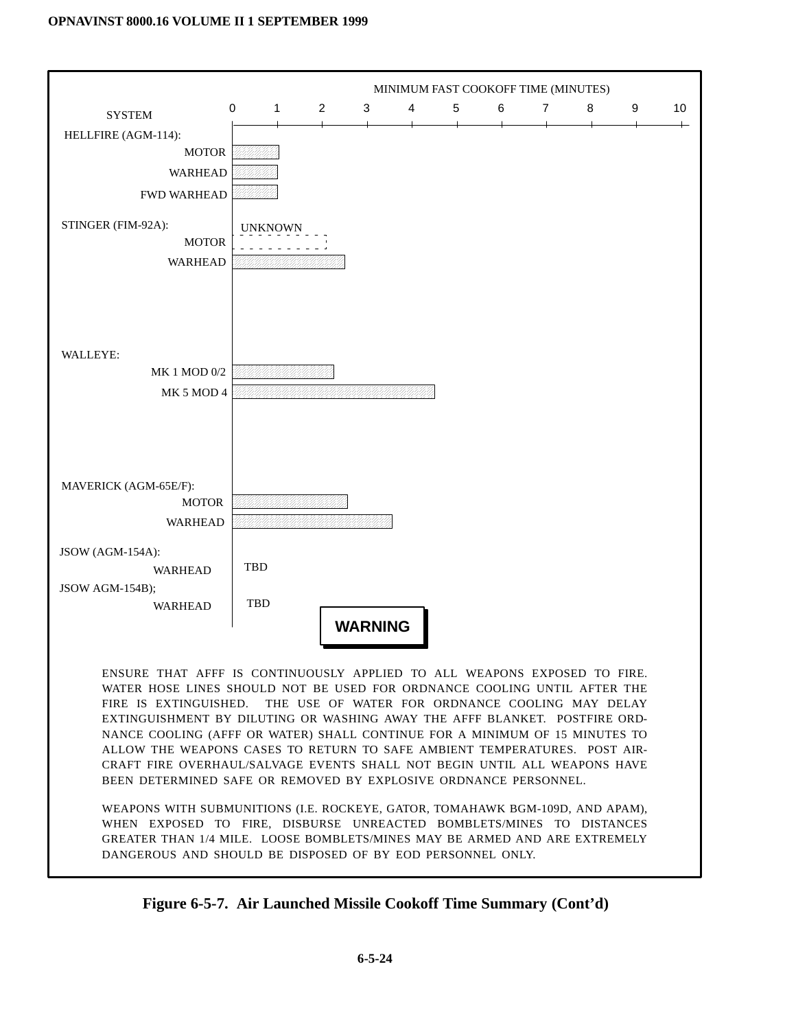

WATER HOSE LINES SHOULD NOT BE USED FOR ORDNANCE COOLING UNTIL AFTER THE FIRE IS EXTINGUISHED. THE USE OF WATER FOR ORDNANCE COOLING MAY DELAY EXTINGUISHMENT BY DILUTING OR WASHING AWAY THE AFFF BLANKET. POSTFIRE ORD-NANCE COOLING (AFFF OR WATER) SHALL CONTINUE FOR A MINIMUM OF 15 MINUTES TO ALLOW THE WEAPONS CASES TO RETURN TO SAFE AMBIENT TEMPERATURES. POST AIR-CRAFT FIRE OVERHAUL/SALVAGE EVENTS SHALL NOT BEGIN UNTIL ALL WEAPONS HAVE BEEN DETERMINED SAFE OR REMOVED BY EXPLOSIVE ORDNANCE PERSONNEL.

WEAPONS WITH SUBMUNITIONS (I.E. ROCKEYE, GATOR, TOMAHAWK BGM-109D, AND APAM), WHEN EXPOSED TO FIRE, DISBURSE UNREACTED BOMBLETS/MINES TO DISTANCES GREATER THAN 1/4 MILE. LOOSE BOMBLETS/MINES MAY BE ARMED AND ARE EXTREMELY DANGEROUS AND SHOULD BE DISPOSED OF BY EOD PERSONNEL ONLY.

**Figure 6-5-7. Air Launched Missile Cookoff Time Summary (Cont'd)**